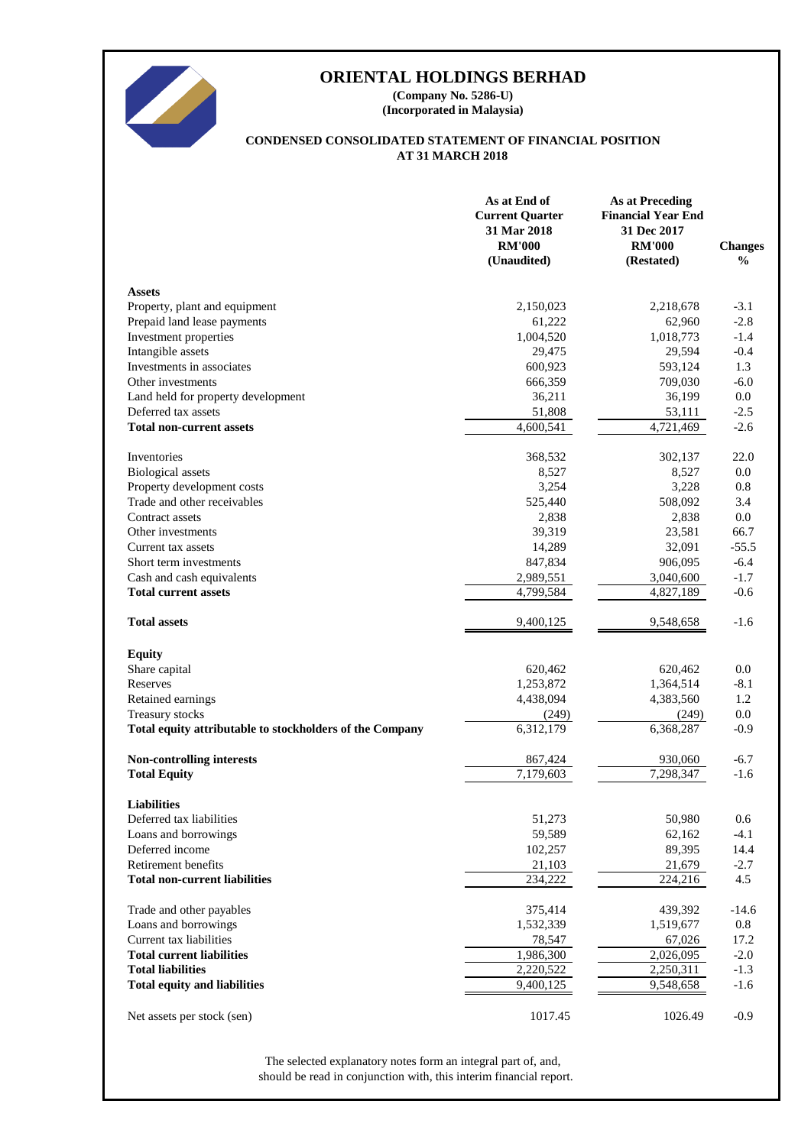

# **ORIENTAL HOLDINGS BERHAD**

**(Incorporated in Malaysia) (Company No. 5286-U)**

# **AT 31 MARCH 2018 CONDENSED CONSOLIDATED STATEMENT OF FINANCIAL POSITION**

|                                                          | As at End of<br><b>Current Quarter</b><br>31 Mar 2018<br><b>RM'000</b><br>(Unaudited) | <b>As at Preceding</b><br><b>Financial Year End</b><br>31 Dec 2017<br><b>RM'000</b><br>(Restated) | <b>Changes</b><br>$\frac{0}{0}$ |
|----------------------------------------------------------|---------------------------------------------------------------------------------------|---------------------------------------------------------------------------------------------------|---------------------------------|
| <b>Assets</b>                                            |                                                                                       |                                                                                                   |                                 |
| Property, plant and equipment                            | 2,150,023                                                                             | 2,218,678                                                                                         | $-3.1$                          |
| Prepaid land lease payments                              | 61,222                                                                                | 62,960                                                                                            | $-2.8$                          |
| Investment properties                                    | 1,004,520                                                                             | 1,018,773                                                                                         | $-1.4$                          |
| Intangible assets                                        | 29,475                                                                                | 29,594                                                                                            | $-0.4$                          |
| Investments in associates                                | 600,923                                                                               | 593,124                                                                                           | 1.3                             |
| Other investments                                        | 666,359                                                                               | 709,030                                                                                           | $-6.0$                          |
| Land held for property development                       | 36,211                                                                                | 36,199                                                                                            | 0.0                             |
| Deferred tax assets                                      | 51,808                                                                                | 53,111                                                                                            | $-2.5$                          |
| <b>Total non-current assets</b>                          | 4,600,541                                                                             | 4,721,469                                                                                         | $-2.6$                          |
| Inventories                                              | 368,532                                                                               | 302,137                                                                                           | 22.0                            |
| <b>Biological</b> assets                                 | 8,527                                                                                 | 8,527                                                                                             | 0.0                             |
| Property development costs                               | 3,254                                                                                 | 3,228                                                                                             | 0.8                             |
| Trade and other receivables                              | 525,440                                                                               | 508,092                                                                                           | 3.4                             |
| Contract assets                                          | 2,838                                                                                 | 2,838                                                                                             | 0.0                             |
| Other investments                                        | 39,319                                                                                | 23,581                                                                                            | 66.7                            |
| Current tax assets                                       | 14,289                                                                                | 32,091                                                                                            | $-55.5$                         |
| Short term investments                                   | 847,834                                                                               | 906,095                                                                                           | $-6.4$                          |
| Cash and cash equivalents                                | 2,989,551                                                                             | 3,040,600                                                                                         | $-1.7$                          |
| <b>Total current assets</b>                              | 4,799,584                                                                             | 4,827,189                                                                                         | $-0.6$                          |
| <b>Total assets</b>                                      | 9,400,125                                                                             | 9,548,658                                                                                         | $-1.6$                          |
| <b>Equity</b>                                            |                                                                                       |                                                                                                   |                                 |
| Share capital                                            | 620,462                                                                               | 620,462                                                                                           | 0.0                             |
| Reserves                                                 | 1,253,872                                                                             | 1,364,514                                                                                         | $-8.1$                          |
| Retained earnings                                        | 4,438,094                                                                             | 4,383,560                                                                                         | 1.2                             |
| Treasury stocks                                          | (249)                                                                                 | (249)                                                                                             | 0.0                             |
| Total equity attributable to stockholders of the Company | 6,312,179                                                                             | 6,368,287                                                                                         | $-0.9$                          |
| <b>Non-controlling interests</b>                         | 867,424                                                                               | 930,060                                                                                           | $-6.7$                          |
| <b>Total Equity</b>                                      | 7,179,603                                                                             | 7,298,347                                                                                         | $-1.6$                          |
| <b>Liabilities</b>                                       |                                                                                       |                                                                                                   |                                 |
| Deferred tax liabilities                                 | 51,273                                                                                | 50,980                                                                                            | 0.6                             |
| Loans and borrowings                                     | 59,589                                                                                | 62,162                                                                                            | $-4.1$                          |
| Deferred income                                          | 102,257                                                                               | 89,395                                                                                            | 14.4                            |
| Retirement benefits                                      | 21,103                                                                                | 21,679                                                                                            | $-2.7$                          |
| <b>Total non-current liabilities</b>                     | 234,222                                                                               | 224,216                                                                                           | 4.5                             |
| Trade and other payables                                 | 375,414                                                                               | 439,392                                                                                           | $-14.6$                         |
| Loans and borrowings                                     | 1,532,339                                                                             | 1,519,677                                                                                         | 0.8                             |
| Current tax liabilities                                  | 78,547                                                                                | 67,026                                                                                            | 17.2                            |
| <b>Total current liabilities</b>                         | 1,986,300                                                                             | 2,026,095                                                                                         | $-2.0$                          |
| <b>Total liabilities</b>                                 | 2,220,522                                                                             | 2,250,311                                                                                         | $-1.3$                          |
| <b>Total equity and liabilities</b>                      | 9,400,125                                                                             | 9,548,658                                                                                         | $-1.6$                          |
| Net assets per stock (sen)                               | 1017.45                                                                               | 1026.49                                                                                           | $-0.9$                          |

should be read in conjunction with, this interim financial report. The selected explanatory notes form an integral part of, and,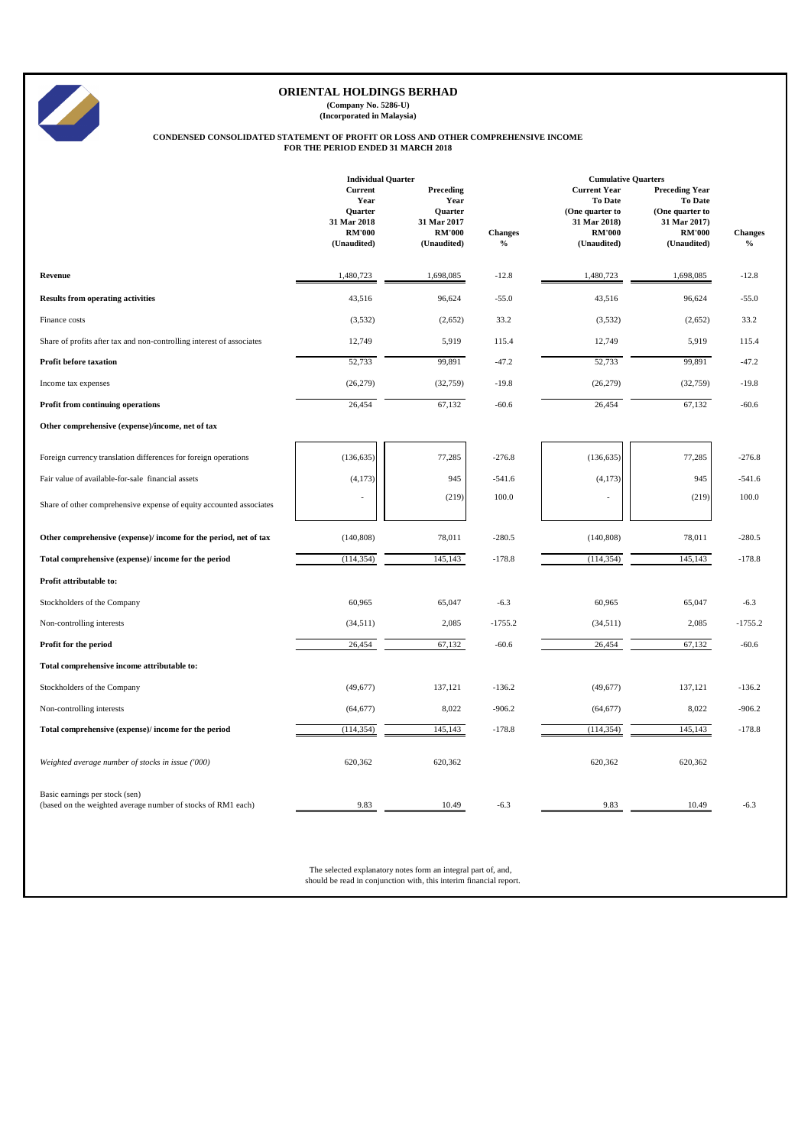|                                                                                                                      | <b>Individual Quarter</b>                                                        |                                                                                    |                                 | <b>Cumulative Quarters</b>                                                                               |                                                                                                            |                                 |  |
|----------------------------------------------------------------------------------------------------------------------|----------------------------------------------------------------------------------|------------------------------------------------------------------------------------|---------------------------------|----------------------------------------------------------------------------------------------------------|------------------------------------------------------------------------------------------------------------|---------------------------------|--|
|                                                                                                                      | <b>Current</b><br>Year<br>Quarter<br>31 Mar 2018<br><b>RM'000</b><br>(Unaudited) | <b>Preceding</b><br>Year<br>Quarter<br>31 Mar 2017<br><b>RM'000</b><br>(Unaudited) | <b>Changes</b><br>$\frac{0}{0}$ | <b>Current Year</b><br><b>To Date</b><br>(One quarter to<br>31 Mar 2018)<br><b>RM'000</b><br>(Unaudited) | <b>Preceding Year</b><br><b>To Date</b><br>(One quarter to<br>31 Mar 2017)<br><b>RM'000</b><br>(Unaudited) | <b>Changes</b><br>$\frac{0}{0}$ |  |
| Revenue                                                                                                              | 1,480,723                                                                        | 1,698,085                                                                          | $-12.8$                         | 1,480,723                                                                                                | 1,698,085                                                                                                  | $-12.8$                         |  |
| <b>Results from operating activities</b>                                                                             | 43,516                                                                           | 96,624                                                                             | $-55.0$                         | 43,516                                                                                                   | 96,624                                                                                                     | $-55.0$                         |  |
| Finance costs                                                                                                        | (3,532)                                                                          | (2,652)                                                                            | 33.2                            | (3,532)                                                                                                  | (2,652)                                                                                                    | 33.2                            |  |
| Share of profits after tax and non-controlling interest of associates                                                | 12,749                                                                           | 5,919                                                                              | 115.4                           | 12,749                                                                                                   | 5,919                                                                                                      | 115.4                           |  |
| <b>Profit before taxation</b>                                                                                        | 52,733                                                                           | 99,891                                                                             | $-47.2$                         | 52,733                                                                                                   | 99,891                                                                                                     | $-47.2$                         |  |
| Income tax expenses                                                                                                  | (26,279)                                                                         | (32,759)                                                                           | $-19.8$                         | (26,279)                                                                                                 | (32,759)                                                                                                   | $-19.8$                         |  |
| Profit from continuing operations                                                                                    | 26,454                                                                           | 67,132                                                                             | $-60.6$                         | 26,454                                                                                                   | 67,132                                                                                                     | $-60.6$                         |  |
| Other comprehensive (expense)/income, net of tax                                                                     |                                                                                  |                                                                                    |                                 |                                                                                                          |                                                                                                            |                                 |  |
| Foreign currency translation differences for foreign operations<br>Fair value of available-for-sale financial assets | (136, 635)<br>(4,173)<br>÷                                                       | 77,285<br>945<br>(219)                                                             | $-276.8$<br>$-541.6$<br>100.0   | (136, 635)<br>(4,173)<br>$\overline{a}$                                                                  | 77,285<br>945<br>(219)                                                                                     | $-276.8$<br>$-541.6$<br>100.0   |  |
| Share of other comprehensive expense of equity accounted associates                                                  |                                                                                  |                                                                                    |                                 |                                                                                                          |                                                                                                            |                                 |  |
| Other comprehensive (expense)/ income for the period, net of tax                                                     | (140, 808)                                                                       | 78,011                                                                             | $-280.5$                        | (140, 808)                                                                                               | 78,011                                                                                                     | $-280.5$                        |  |
| Total comprehensive (expense)/ income for the period                                                                 | (114, 354)                                                                       | 145,143                                                                            | $-178.8$                        | (114, 354)                                                                                               | 145,143                                                                                                    | $-178.8$                        |  |
| Profit attributable to:                                                                                              |                                                                                  |                                                                                    |                                 |                                                                                                          |                                                                                                            |                                 |  |
| Stockholders of the Company                                                                                          | 60,965                                                                           | 65,047                                                                             | $-6.3$                          | 60,965                                                                                                   | 65,047                                                                                                     | $-6.3$                          |  |
| Non-controlling interests                                                                                            | (34,511)                                                                         | 2,085                                                                              | $-1755.2$                       | (34,511)                                                                                                 | 2,085                                                                                                      | $-1755.2$                       |  |
| Profit for the period                                                                                                | 26,454                                                                           | 67,132                                                                             | $-60.6$                         | 26,454                                                                                                   | 67,132                                                                                                     | $-60.6$                         |  |
| Total comprehensive income attributable to:                                                                          |                                                                                  |                                                                                    |                                 |                                                                                                          |                                                                                                            |                                 |  |
| Stockholders of the Company                                                                                          | (49,677)                                                                         | 137,121                                                                            | $-136.2$                        | (49,677)                                                                                                 | 137,121                                                                                                    | $-136.2$                        |  |
| Non-controlling interests                                                                                            | (64, 677)                                                                        | 8,022                                                                              | $-906.2$                        | (64, 677)                                                                                                | 8,022                                                                                                      | $-906.2$                        |  |
| Total comprehensive (expense)/ income for the period                                                                 | (114, 354)                                                                       | 145,143                                                                            | $-178.8$                        | (114, 354)                                                                                               | 145,143                                                                                                    | $-178.8$                        |  |

| Weighted average number of stocks in issue ('000)                                              | 620,362 | 620,362                                                                                                                             | 620,362 | 620,362         |
|------------------------------------------------------------------------------------------------|---------|-------------------------------------------------------------------------------------------------------------------------------------|---------|-----------------|
| Basic earnings per stock (sen)<br>(based on the weighted average number of stocks of RM1 each) | 9.83    | $-6.3$<br>10.49                                                                                                                     | 9.83    | 10.49<br>$-6.3$ |
|                                                                                                |         | The selected explanatory notes form an integral part of, and,<br>should be read in conjunction with, this interim financial report. |         |                 |



# **ORIENTAL HOLDINGS BERHAD**

**(Company No. 5286-U) (Incorporated in Malaysia)**

#### **CONDENSED CONSOLIDATED STATEMENT OF PROFIT OR LOSS AND OTHER COMPREHENSIVE INCOME FOR THE PERIOD ENDED 31 MARCH 2018**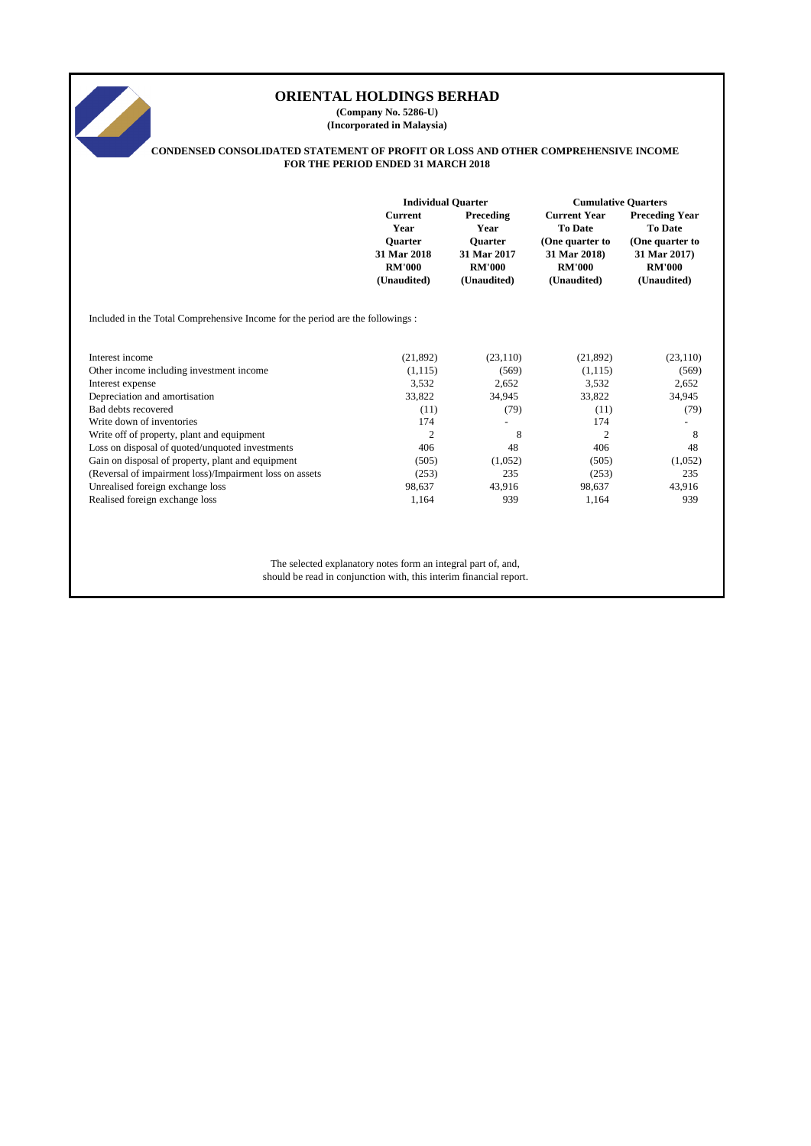# **Current Preceding Current Year Preceding Year Year Year To Date To Date Quarter Quarter (One quarter to (One quarter to 31 Mar 2018 31 Mar 2017 31 Mar 2018) 31 Mar 2017) RM'000 RM'000 RM'000 RM'000 (Unaudited) (Unaudited) (Unaudited) (Unaudited)** Included in the Total Comprehensive Income for the period are the followings : Interest income (21,892) (23,110) (21,892) (23,110) (21,892) (23,110) Other income including investment income (1,115) (569) (1,115) (569) (1,115) (569) Interest expense 3,532 2,652 3,532 2,652 Depreciation and amortisation 33,822 34,945 33,822 34,945  $Bad debts recovered$  (11)  $(79)$  (11)  $(79)$ Write down of inventories 174 and 174 and 174 and 174 and 174 and 174 and 174 and 174 and 174 and 174 and 174 and 174 and 174 and 174 and 174 and 174 and 174 and 174 and 174 and 174 and 174 and 174 and 174 and 174 and 175 Write off of property, plant and equipment 2 8 2 8 2 8 Loss on disposal of quoted/unquoted investments 406 48 48 406 48 48 406 48 Gain on disposal of property, plant and equipment (505) (1,052) (505) (505) (1,052) (Reversal of impairment loss)/Impairment loss on assets (253) 235 (253) 235 Unrealised foreign exchange loss 637 43,916 98,637 43,916 98,637 43,916 43,916 43,916 Realised foreign exchange loss 1,164 939 1,164 939 1,164 939 The selected explanatory notes form an integral part of, and, should be read in conjunction with, this interim financial report. **ORIENTAL HOLDINGS BERHAD (Company No. 5286-U) (Incorporated in Malaysia) CONDENSED CONSOLIDATED STATEMENT OF PROFIT OR LOSS AND OTHER COMPREHENSIVE INCOME FOR THE PERIOD ENDED 31 MARCH 2018 Individual Quarter Cumulative Quarters**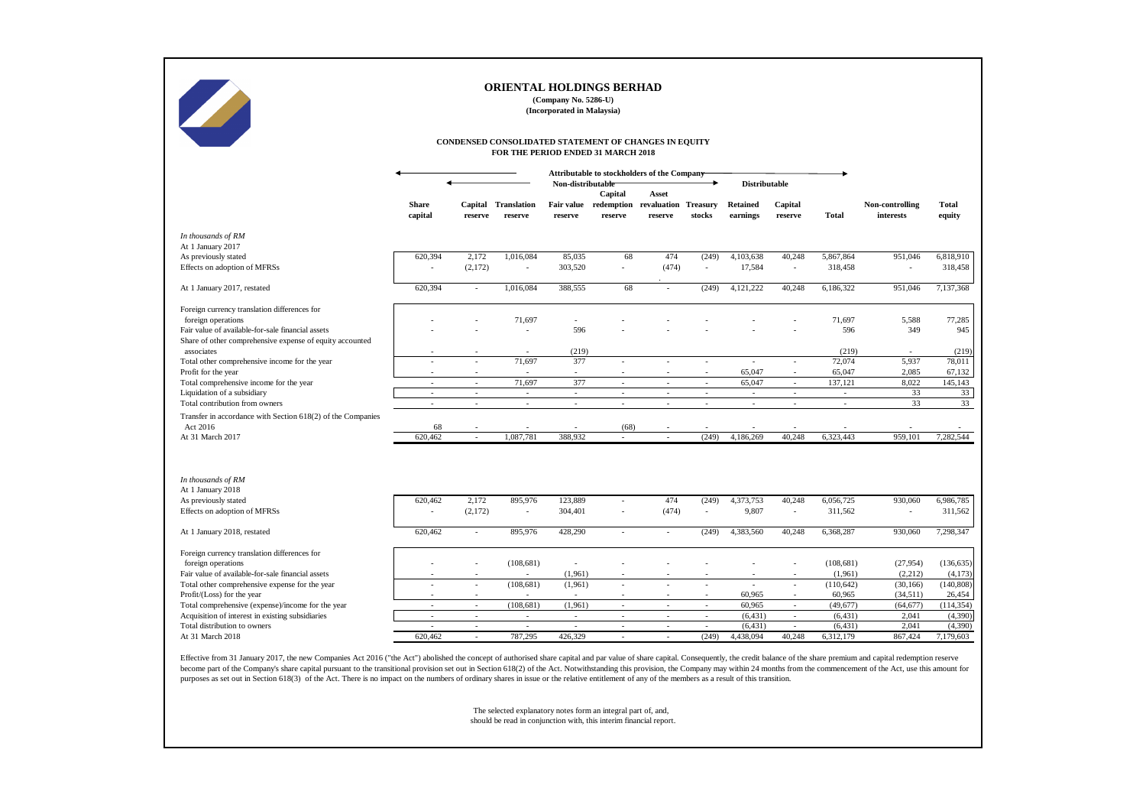|                                                                                                 |                          |                          | ORIENTAL HOLDINGS BERHAD                                                                    | (Company No. 5286-U)<br>(Incorporated in Malaysia) |                    |                                                   |                                   |                             |                                    |                      |                              |                        |
|-------------------------------------------------------------------------------------------------|--------------------------|--------------------------|---------------------------------------------------------------------------------------------|----------------------------------------------------|--------------------|---------------------------------------------------|-----------------------------------|-----------------------------|------------------------------------|----------------------|------------------------------|------------------------|
|                                                                                                 |                          |                          | CONDENSED CONSOLIDATED STATEMENT OF CHANGES IN EQUITY<br>FOR THE PERIOD ENDED 31 MARCH 2018 |                                                    |                    |                                                   |                                   |                             |                                    |                      |                              |                        |
|                                                                                                 |                          |                          |                                                                                             | Non-distributable                                  |                    | Attributable to stockholders of the Company       |                                   | <b>Distributable</b>        |                                    |                      |                              |                        |
|                                                                                                 | <b>Share</b><br>capital  | reserve                  | <b>Capital Translation</b><br>reserve                                                       | <b>Fair value</b><br>reserve                       | Capital<br>reserve | <b>Asset</b><br>redemption revaluation<br>reserve | <b>Treasury</b><br>stocks         | <b>Retained</b><br>earnings | Capital<br>reserve                 | <b>Total</b>         | Non-controlling<br>interests | <b>Total</b><br>equity |
| In thousands of RM                                                                              |                          |                          |                                                                                             |                                                    |                    |                                                   |                                   |                             |                                    |                      |                              |                        |
| At 1 January 2017                                                                               |                          |                          |                                                                                             |                                                    |                    |                                                   |                                   |                             |                                    |                      |                              |                        |
| As previously stated<br>Effects on adoption of MFRSs                                            | 620,394                  | 2,172<br>(2,172)         | 1,016,084                                                                                   | 85,035<br>303,520                                  | 68                 | 474<br>(474)                                      | (249)                             | 4,103,638<br>17,584         | 40,248<br>$\overline{\phantom{a}}$ | 5,867,864<br>318,458 | 951,046                      | 6,818,910<br>318,458   |
| At 1 January 2017, restated                                                                     | 620,394                  |                          | 1,016,084                                                                                   | 388,555                                            | 68                 | $\overline{\phantom{a}}$                          | (249)                             | 4,121,222                   | 40,248                             | 6,186,322            | 951,046                      | 7,137,368              |
| Foreign currency translation differences for                                                    |                          |                          |                                                                                             |                                                    |                    |                                                   |                                   |                             |                                    |                      |                              |                        |
| foreign operations                                                                              |                          |                          | 71,697                                                                                      |                                                    |                    |                                                   |                                   |                             |                                    | 71,697               | 5,588                        | 77,285                 |
| Fair value of available-for-sale financial assets                                               |                          |                          |                                                                                             | 596                                                |                    |                                                   |                                   |                             |                                    | 596                  | 349                          | 945                    |
| Share of other comprehensive expense of equity accounted                                        |                          |                          |                                                                                             |                                                    |                    |                                                   |                                   |                             |                                    |                      |                              |                        |
| associates                                                                                      |                          |                          |                                                                                             | (219)                                              |                    |                                                   |                                   |                             |                                    | (219)                |                              | (219)                  |
| Total other comprehensive income for the year                                                   |                          |                          | 71,697                                                                                      | 377                                                | $\sim$             |                                                   | $\blacksquare$                    |                             | $\overline{\phantom{a}}$           | 72,074               | 5,937                        | 78,011                 |
| Profit for the year                                                                             |                          |                          |                                                                                             | $\sim$ .                                           |                    |                                                   |                                   | 65,047                      | $\sim$                             | 65,047               | 2,085                        | 67,132                 |
| Total comprehensive income for the year                                                         |                          |                          | 71,697                                                                                      | 377                                                | $\sim$             |                                                   | $\sim$                            | 65,047                      | $\blacksquare$                     | 137,121              | 8,022                        | 145,143                |
| Liquidation of a subsidiary                                                                     |                          |                          |                                                                                             | $\sim$                                             | $\sim$             |                                                   | $\overline{\phantom{a}}$          | $\overline{\phantom{a}}$    | $\overline{\phantom{a}}$           | $\sim$               | 33                           | 33                     |
| Total contribution from owners                                                                  |                          |                          | $\sim$                                                                                      | $\sim$                                             |                    |                                                   | $\overline{\phantom{a}}$          |                             | $\overline{\phantom{a}}$           | $\sim$               | 33                           | 33                     |
| Transfer in accordance with Section 618(2) of the Companies                                     |                          |                          |                                                                                             |                                                    |                    |                                                   |                                   |                             |                                    |                      |                              |                        |
| Act 2016                                                                                        | 68                       |                          |                                                                                             |                                                    | (68)               |                                                   |                                   |                             |                                    |                      |                              |                        |
| At 31 March 2017                                                                                | 620,462                  |                          | 1,087,781                                                                                   | 388,932                                            |                    |                                                   | (249)                             | 4,186,269                   | 40,248                             | 6,323,443            | 959,101                      | 7,282,544              |
| In thousands of RM<br>At 1 January 2018<br>As previously stated<br>Effects on adoption of MFRSs | 620,462                  | 2,172<br>(2,172)         | 895,976<br>$\sim$                                                                           | 123,889<br>304,401                                 |                    | 474<br>(474)                                      | (249)<br>$\overline{\phantom{a}}$ | 4,373,753<br>9,807          | 40,248<br>$\blacksquare$           | 6,056,725<br>311,562 | 930,060<br>$\sim$            | 6,986,785<br>311,562   |
| At 1 January 2018, restated                                                                     | 620,462                  |                          | 895,976                                                                                     | 428,290                                            |                    |                                                   | (249)                             | 4,383,560                   | 40,248                             | 6,368,287            | 930,060                      | 7,298,347              |
| Foreign currency translation differences for                                                    |                          |                          |                                                                                             |                                                    |                    |                                                   |                                   |                             |                                    |                      |                              |                        |
| foreign operations                                                                              |                          |                          | (108, 681)                                                                                  | $\overline{\phantom{a}}$                           |                    |                                                   |                                   |                             |                                    | (108, 681)           | (27, 954)                    | (136, 635)             |
| Fair value of available-for-sale financial assets                                               |                          |                          | $\sim$                                                                                      | (1,961)                                            |                    |                                                   |                                   |                             | $\overline{\phantom{a}}$           | (1,961)              | (2,212)                      | (4,173)                |
| Total other comprehensive expense for the year                                                  | $\overline{\phantom{a}}$ | $\sim$                   | (108, 681)                                                                                  | (1,961)                                            | $\sim$             | $\sim$                                            | $\overline{\phantom{a}}$          | $\sim$                      | $\blacksquare$                     | (110, 642)           | (30, 166)                    | (140, 808)             |
| Profit/(Loss) for the year                                                                      |                          |                          |                                                                                             | $\overline{\phantom{a}}$                           | $\sim$             |                                                   | $\sim$                            | 60,965                      | $\overline{\phantom{a}}$           | 60,965               | (34,511)                     | 26,454                 |
| Total comprehensive (expense)/income for the year                                               |                          |                          | (108, 681)                                                                                  | (1,961)                                            | $\sim$             |                                                   |                                   | 60,965                      | $\overline{\phantom{a}}$           | (49, 677)            | (64, 677)                    | (114, 354)             |
| Acquisition of interest in existing subsidiaries                                                | $\overline{\phantom{a}}$ | $\overline{\phantom{a}}$ | $\sim$                                                                                      | $\sim$                                             | $\sim$             | $\overline{\phantom{a}}$                          | $\sim$                            | (6, 431)                    | $\sim$                             | (6, 431)             | 2,041                        | (4,390)                |
| Total distribution to owners                                                                    | $\sim$                   | $\sim$                   | $\sim$                                                                                      | $\sim$                                             | $\sim$             | $\sim$                                            | $\sim$                            | (6, 431)                    | $\sim$                             | (6, 431)             | 2,041                        | (4,390)                |
| At 31 March 2018                                                                                | 620,462                  | $\sim$                   | 787,295                                                                                     | 426,329                                            | $\sim$             | $\sim$                                            | (249)                             | 4,438,094                   | 40,248                             | 6,312,179            | 867,424                      | 7,179,603              |
|                                                                                                 |                          |                          |                                                                                             |                                                    |                    |                                                   |                                   |                             |                                    |                      |                              |                        |

Effective from 31 January 2017, the new Companies Act 2016 ("the Act") abolished the concept of authorised share capital and par value of share capital. Consequently, the credit balance of the share premium and capital red become part of the Company's share capital pursuant to the transitional provision set out in Section 618(2) of the Act. Notwithstanding this provision, the Company may within 24 months from the commencement of the Act, use purposes as set out in Section 618(3) of the Act. There is no impact on the numbers of ordinary shares in issue or the relative entitlement of any of the members as a result of this transition.

# **ORIENTAL HOLDINGS BERHAD**

The selected explanatory notes form an integral part of, and, should be read in conjunction with, this interim financial report.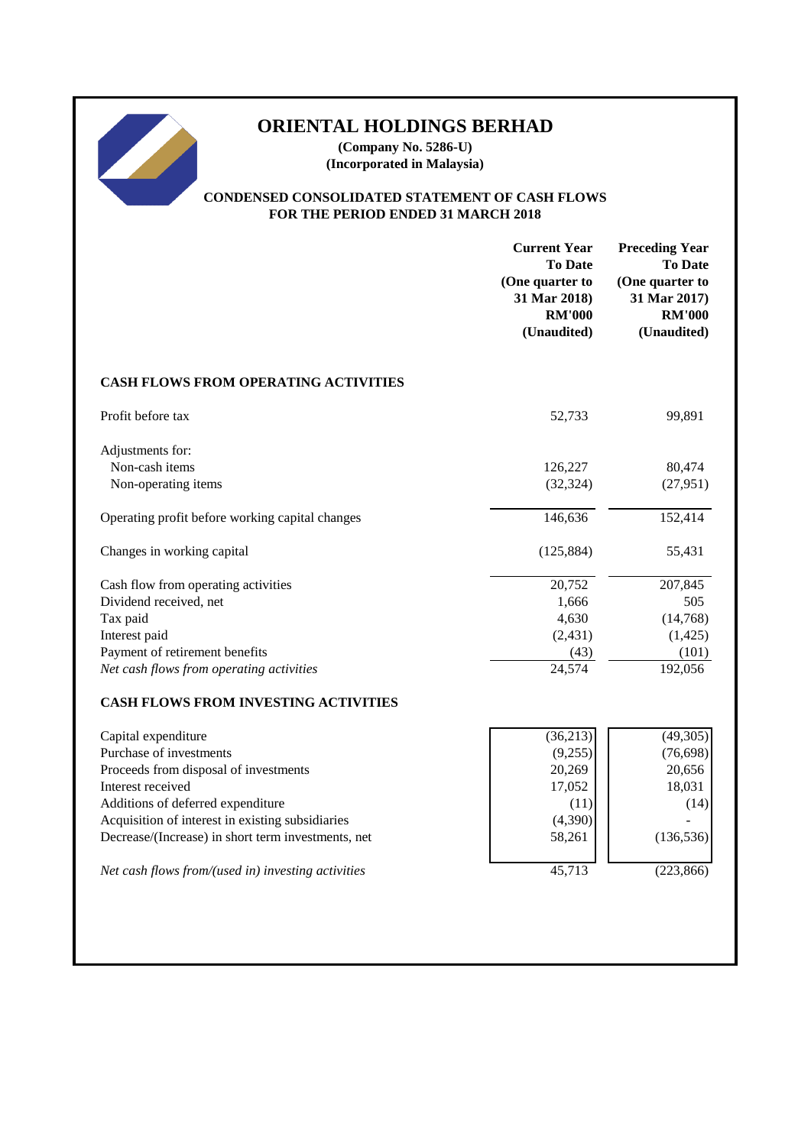# **ORIENTAL HOLDINGS BERHAD**

**(Company No. 5286-U) (Incorporated in Malaysia)**

# **CONDENSED CONSOLIDATED STATEMENT OF CASH FLOWS FOR THE PERIOD ENDED 31 MARCH 2018**

|                                                    | <b>Current Year</b><br><b>To Date</b><br>(One quarter to<br>31 Mar 2018)<br><b>RM'000</b><br>(Unaudited) | <b>Preceding Year</b><br><b>To Date</b><br>(One quarter to<br>31 Mar 2017)<br><b>RM'000</b><br>(Unaudited) |
|----------------------------------------------------|----------------------------------------------------------------------------------------------------------|------------------------------------------------------------------------------------------------------------|
| <b>CASH FLOWS FROM OPERATING ACTIVITIES</b>        |                                                                                                          |                                                                                                            |
| Profit before tax                                  | 52,733                                                                                                   | 99,891                                                                                                     |
| Adjustments for:                                   |                                                                                                          |                                                                                                            |
| Non-cash items                                     | 126,227                                                                                                  | 80,474                                                                                                     |
| Non-operating items                                | (32, 324)                                                                                                | (27, 951)                                                                                                  |
| Operating profit before working capital changes    | 146,636                                                                                                  | 152,414                                                                                                    |
| Changes in working capital                         | (125, 884)                                                                                               | 55,431                                                                                                     |
| Cash flow from operating activities                | 20,752                                                                                                   | 207,845                                                                                                    |
| Dividend received, net                             | 1,666                                                                                                    | 505                                                                                                        |
| Tax paid                                           | 4,630                                                                                                    | (14,768)                                                                                                   |
| Interest paid                                      | (2, 431)                                                                                                 | (1, 425)                                                                                                   |
| Payment of retirement benefits                     | (43)                                                                                                     | (101)                                                                                                      |
| Net cash flows from operating activities           | 24,574                                                                                                   | 192,056                                                                                                    |
| <b>CASH FLOWS FROM INVESTING ACTIVITIES</b>        |                                                                                                          |                                                                                                            |
| Capital expenditure                                | (36, 213)                                                                                                | (49, 305)                                                                                                  |
| Purchase of investments                            | (9,255)                                                                                                  | (76, 698)                                                                                                  |
| Proceeds from disposal of investments              | 20,269                                                                                                   | 20,656                                                                                                     |
| Interest received                                  | 17,052                                                                                                   | 18,031                                                                                                     |
| Additions of deferred expenditure                  | (11)                                                                                                     | (14)                                                                                                       |
| Acquisition of interest in existing subsidiaries   | (4,390)                                                                                                  |                                                                                                            |
| Decrease/(Increase) in short term investments, net | 58,261                                                                                                   | (136, 536)                                                                                                 |
| Net cash flows from/(used in) investing activities | 45,713                                                                                                   | (223, 866)                                                                                                 |
|                                                    |                                                                                                          |                                                                                                            |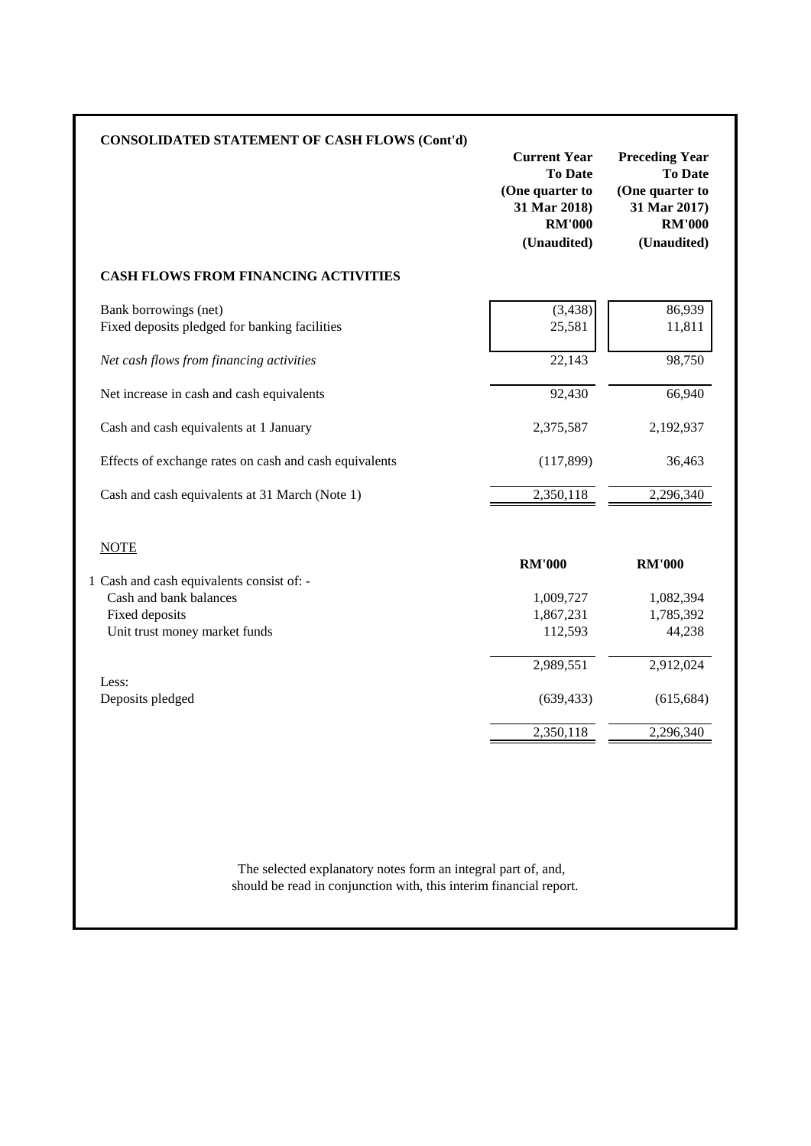| <b>CONSOLIDATED STATEMENT OF CASH FLOWS (Cont'd)</b>                   | <b>Current Year</b><br><b>To Date</b><br>(One quarter to<br>31 Mar 2018)<br><b>RM'000</b><br>(Unaudited) | <b>Preceding Year</b><br><b>To Date</b><br>(One quarter to<br>31 Mar 2017)<br><b>RM'000</b><br>(Unaudited) |
|------------------------------------------------------------------------|----------------------------------------------------------------------------------------------------------|------------------------------------------------------------------------------------------------------------|
| <b>CASH FLOWS FROM FINANCING ACTIVITIES</b>                            |                                                                                                          |                                                                                                            |
| Bank borrowings (net)<br>Fixed deposits pledged for banking facilities | (3, 438)<br>25,581                                                                                       | 86,939<br>11,811                                                                                           |
| Net cash flows from financing activities                               | 22,143                                                                                                   | 98,750                                                                                                     |
| Net increase in cash and cash equivalents                              | 92,430                                                                                                   | 66,940                                                                                                     |
| Cash and cash equivalents at 1 January                                 | 2,375,587                                                                                                | 2,192,937                                                                                                  |
| Effects of exchange rates on cash and cash equivalents                 | (117, 899)                                                                                               | 36,463                                                                                                     |
| Cash and cash equivalents at 31 March (Note 1)                         | 2,350,118                                                                                                | 2,296,340                                                                                                  |
| <b>NOTE</b>                                                            | <b>RM'000</b>                                                                                            | <b>RM'000</b>                                                                                              |
| 1 Cash and cash equivalents consist of: -                              |                                                                                                          |                                                                                                            |
| Cash and bank balances                                                 | 1,009,727                                                                                                | 1,082,394                                                                                                  |
| Fixed deposits<br>Unit trust money market funds                        | 1,867,231<br>112,593                                                                                     | 1,785,392<br>44,238                                                                                        |
|                                                                        |                                                                                                          |                                                                                                            |
|                                                                        | 2,989,551                                                                                                | 2,912,024                                                                                                  |
| Less:<br>Deposits pledged                                              | (639, 433)                                                                                               | (615, 684)                                                                                                 |
|                                                                        | 2,350,118                                                                                                | 2,296,340                                                                                                  |

should be read in conjunction with, this interim financial report. The selected explanatory notes form an integral part of, and,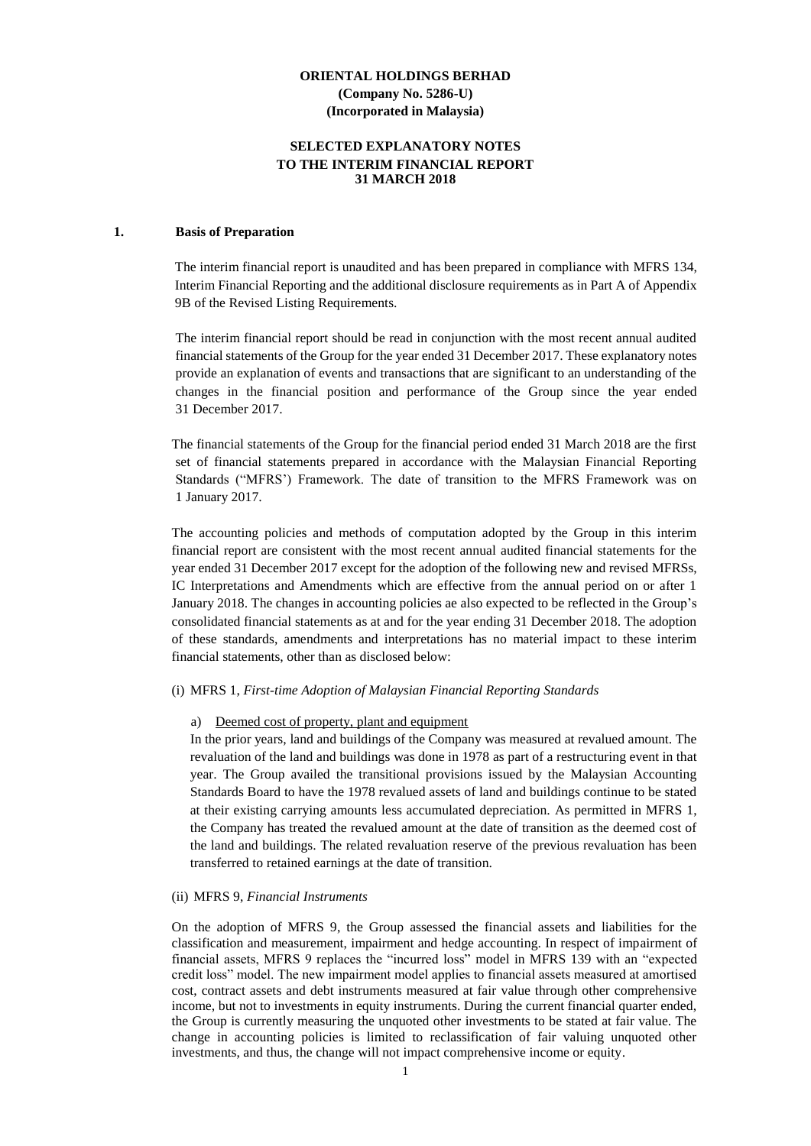#### **SELECTED EXPLANATORY NOTES TO THE INTERIM FINANCIAL REPORT 31 MARCH 2018**

#### **1. Basis of Preparation**

The interim financial report is unaudited and has been prepared in compliance with MFRS 134, Interim Financial Reporting and the additional disclosure requirements as in Part A of Appendix 9B of the Revised Listing Requirements.

The interim financial report should be read in conjunction with the most recent annual audited financial statements of the Group for the year ended 31 December 2017. These explanatory notes provide an explanation of events and transactions that are significant to an understanding of the changes in the financial position and performance of the Group since the year ended 31 December 2017.

The financial statements of the Group for the financial period ended 31 March 2018 are the first set of financial statements prepared in accordance with the Malaysian Financial Reporting Standards ("MFRS') Framework. The date of transition to the MFRS Framework was on 1 January 2017.

The accounting policies and methods of computation adopted by the Group in this interim financial report are consistent with the most recent annual audited financial statements for the year ended 31 December 2017 except for the adoption of the following new and revised MFRSs, IC Interpretations and Amendments which are effective from the annual period on or after 1 January 2018. The changes in accounting policies ae also expected to be reflected in the Group's consolidated financial statements as at and for the year ending 31 December 2018. The adoption of these standards, amendments and interpretations has no material impact to these interim financial statements, other than as disclosed below:

#### (i) MFRS 1, *First-time Adoption of Malaysian Financial Reporting Standards*

#### a) Deemed cost of property, plant and equipment

In the prior years, land and buildings of the Company was measured at revalued amount. The revaluation of the land and buildings was done in 1978 as part of a restructuring event in that year. The Group availed the transitional provisions issued by the Malaysian Accounting Standards Board to have the 1978 revalued assets of land and buildings continue to be stated at their existing carrying amounts less accumulated depreciation. As permitted in MFRS 1, the Company has treated the revalued amount at the date of transition as the deemed cost of the land and buildings. The related revaluation reserve of the previous revaluation has been transferred to retained earnings at the date of transition.

#### (ii) MFRS 9, *Financial Instruments*

On the adoption of MFRS 9, the Group assessed the financial assets and liabilities for the classification and measurement, impairment and hedge accounting. In respect of impairment of financial assets, MFRS 9 replaces the "incurred loss" model in MFRS 139 with an "expected credit loss" model. The new impairment model applies to financial assets measured at amortised cost, contract assets and debt instruments measured at fair value through other comprehensive income, but not to investments in equity instruments. During the current financial quarter ended, the Group is currently measuring the unquoted other investments to be stated at fair value. The change in accounting policies is limited to reclassification of fair valuing unquoted other investments, and thus, the change will not impact comprehensive income or equity.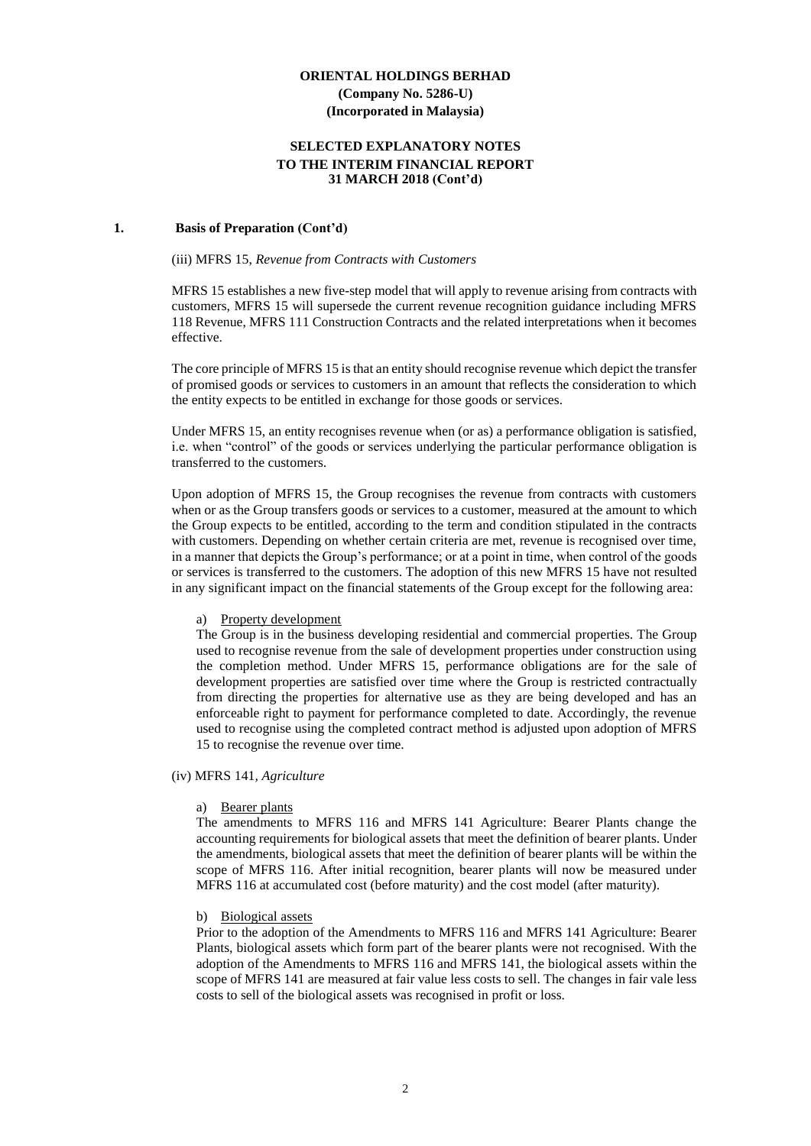#### **SELECTED EXPLANATORY NOTES TO THE INTERIM FINANCIAL REPORT 31 MARCH 2018 (Cont'd)**

#### **1. Basis of Preparation (Cont'd)**

#### (iii) MFRS 15, *Revenue from Contracts with Customers*

MFRS 15 establishes a new five-step model that will apply to revenue arising from contracts with customers, MFRS 15 will supersede the current revenue recognition guidance including MFRS 118 Revenue, MFRS 111 Construction Contracts and the related interpretations when it becomes effective.

The core principle of MFRS 15 is that an entity should recognise revenue which depict the transfer of promised goods or services to customers in an amount that reflects the consideration to which the entity expects to be entitled in exchange for those goods or services.

Under MFRS 15, an entity recognises revenue when (or as) a performance obligation is satisfied, i.e. when "control" of the goods or services underlying the particular performance obligation is transferred to the customers.

Upon adoption of MFRS 15, the Group recognises the revenue from contracts with customers when or as the Group transfers goods or services to a customer, measured at the amount to which the Group expects to be entitled, according to the term and condition stipulated in the contracts with customers. Depending on whether certain criteria are met, revenue is recognised over time, in a manner that depicts the Group's performance; or at a point in time, when control of the goods or services is transferred to the customers. The adoption of this new MFRS 15 have not resulted in any significant impact on the financial statements of the Group except for the following area:

#### a) Property development

The Group is in the business developing residential and commercial properties. The Group used to recognise revenue from the sale of development properties under construction using the completion method. Under MFRS 15, performance obligations are for the sale of development properties are satisfied over time where the Group is restricted contractually from directing the properties for alternative use as they are being developed and has an enforceable right to payment for performance completed to date. Accordingly, the revenue used to recognise using the completed contract method is adjusted upon adoption of MFRS 15 to recognise the revenue over time.

#### (iv) MFRS 141*, Agriculture*

#### a) Bearer plants

The amendments to MFRS 116 and MFRS 141 Agriculture: Bearer Plants change the accounting requirements for biological assets that meet the definition of bearer plants. Under the amendments, biological assets that meet the definition of bearer plants will be within the scope of MFRS 116. After initial recognition, bearer plants will now be measured under MFRS 116 at accumulated cost (before maturity) and the cost model (after maturity).

#### b) Biological assets

Prior to the adoption of the Amendments to MFRS 116 and MFRS 141 Agriculture: Bearer Plants, biological assets which form part of the bearer plants were not recognised. With the adoption of the Amendments to MFRS 116 and MFRS 141, the biological assets within the scope of MFRS 141 are measured at fair value less costs to sell. The changes in fair vale less costs to sell of the biological assets was recognised in profit or loss.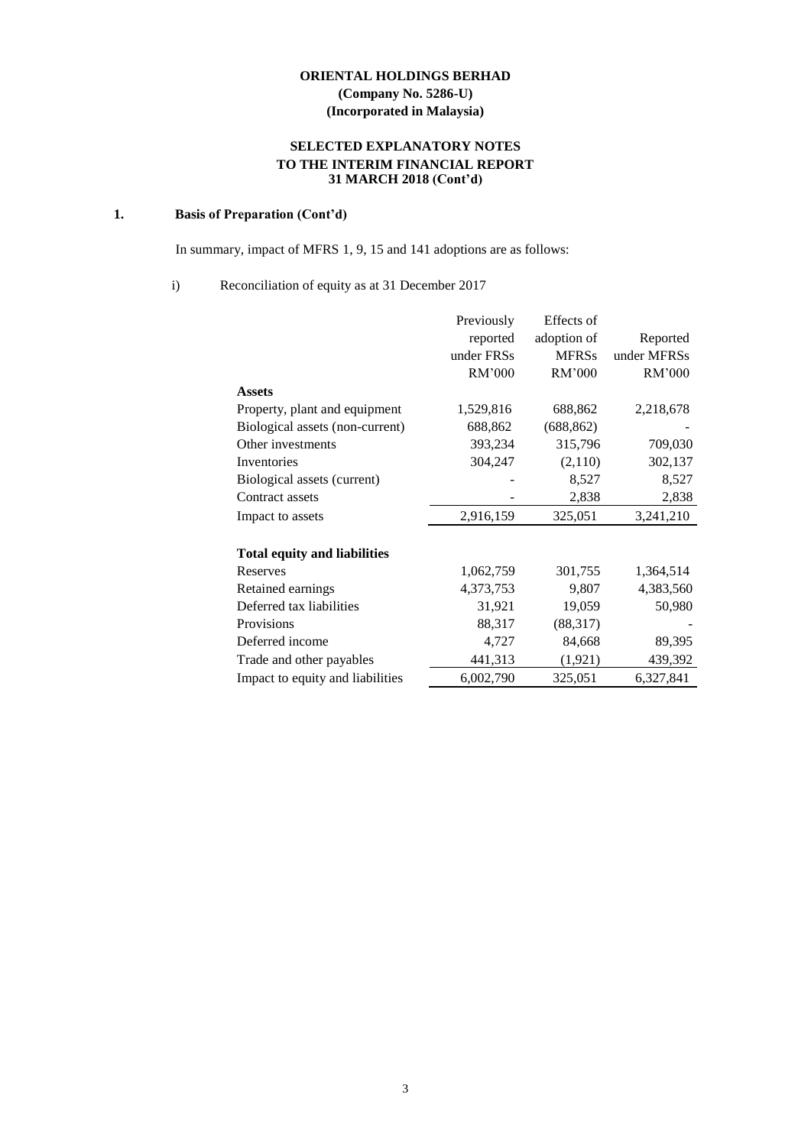# **SELECTED EXPLANATORY NOTES TO THE INTERIM FINANCIAL REPORT 31 MARCH 2018 (Cont'd)**

## **1. Basis of Preparation (Cont'd)**

In summary, impact of MFRS 1, 9, 15 and 141 adoptions are as follows:

#### i) Reconciliation of equity as at 31 December 2017

|                                     | Previously | Effects of   |             |
|-------------------------------------|------------|--------------|-------------|
|                                     | reported   | adoption of  | Reported    |
|                                     | under FRSs | <b>MFRSs</b> | under MFRSs |
|                                     | RM'000     | RM'000       | RM'000      |
| <b>Assets</b>                       |            |              |             |
| Property, plant and equipment       | 1,529,816  | 688,862      | 2,218,678   |
| Biological assets (non-current)     | 688,862    | (688, 862)   |             |
| Other investments                   | 393,234    | 315,796      | 709,030     |
| Inventories                         | 304,247    | (2,110)      | 302,137     |
| Biological assets (current)         |            | 8,527        | 8,527       |
| Contract assets                     |            | 2,838        | 2,838       |
| Impact to assets                    | 2,916,159  | 325,051      | 3,241,210   |
|                                     |            |              |             |
| <b>Total equity and liabilities</b> |            |              |             |
| Reserves                            | 1,062,759  | 301,755      | 1,364,514   |
| Retained earnings                   | 4,373,753  | 9,807        | 4,383,560   |
| Deferred tax liabilities            | 31,921     | 19,059       | 50,980      |
| Provisions                          | 88,317     | (88, 317)    |             |
| Deferred income                     | 4,727      | 84,668       | 89,395      |
| Trade and other payables            | 441,313    | (1, 921)     | 439,392     |
| Impact to equity and liabilities    | 6,002,790  | 325,051      | 6,327,841   |
|                                     |            |              |             |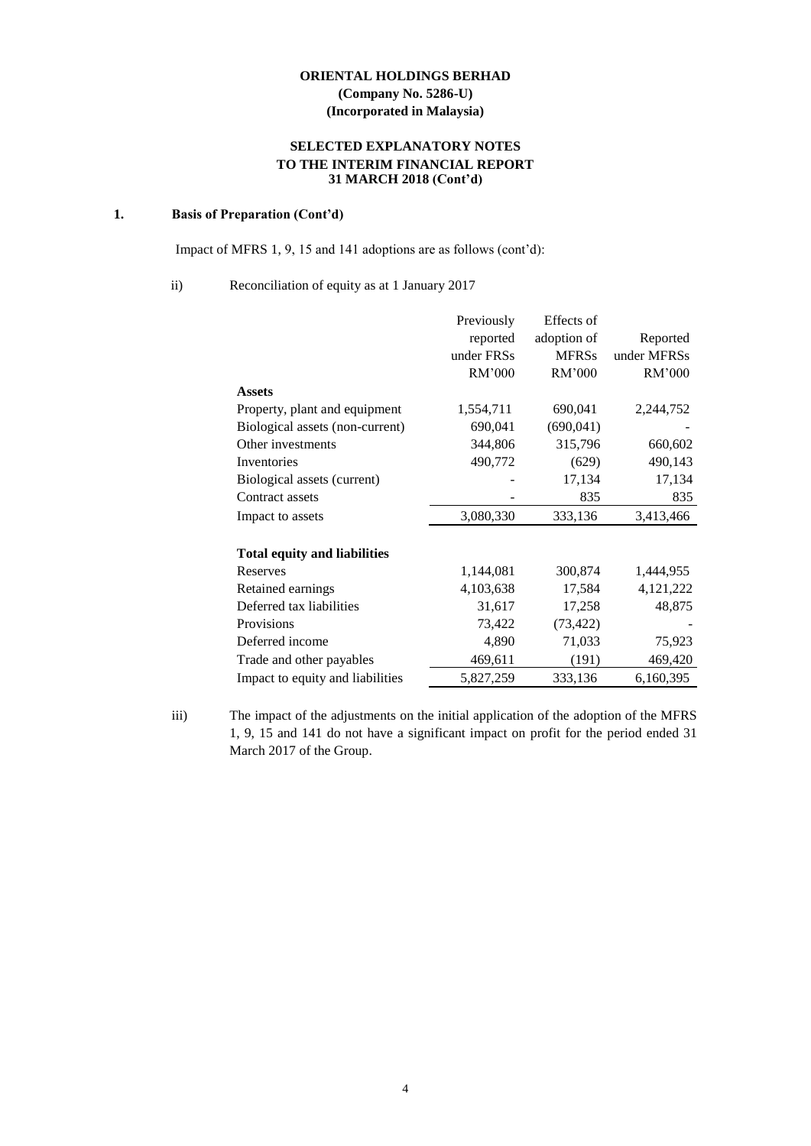# **SELECTED EXPLANATORY NOTES TO THE INTERIM FINANCIAL REPORT 31 MARCH 2018 (Cont'd)**

#### **1. Basis of Preparation (Cont'd)**

Impact of MFRS 1, 9, 15 and 141 adoptions are as follows (cont'd):

#### ii) Reconciliation of equity as at 1 January 2017

|                                     | Previously | Effects of   |             |
|-------------------------------------|------------|--------------|-------------|
|                                     | reported   | adoption of  | Reported    |
|                                     | under FRSs | <b>MFRSs</b> | under MFRSs |
|                                     | RM'000     | RM'000       | RM'000      |
| <b>Assets</b>                       |            |              |             |
| Property, plant and equipment       | 1,554,711  | 690,041      | 2,244,752   |
| Biological assets (non-current)     | 690,041    | (690,041)    |             |
| Other investments                   | 344,806    | 315,796      | 660,602     |
| Inventories                         | 490,772    | (629)        | 490,143     |
| Biological assets (current)         |            | 17,134       | 17,134      |
| Contract assets                     |            | 835          | 835         |
| Impact to assets                    | 3,080,330  | 333,136      | 3,413,466   |
| <b>Total equity and liabilities</b> |            |              |             |
| Reserves                            | 1,144,081  | 300,874      | 1,444,955   |
| Retained earnings                   | 4,103,638  | 17,584       | 4,121,222   |
| Deferred tax liabilities            | 31,617     | 17,258       | 48,875      |
| Provisions                          | 73,422     | (73, 422)    |             |
| Deferred income                     | 4,890      | 71,033       | 75,923      |
| Trade and other payables            | 469,611    | (191)        | 469,420     |
| Impact to equity and liabilities    | 5,827,259  | 333,136      | 6,160,395   |
|                                     |            |              |             |

iii) The impact of the adjustments on the initial application of the adoption of the MFRS 1, 9, 15 and 141 do not have a significant impact on profit for the period ended 31 March 2017 of the Group.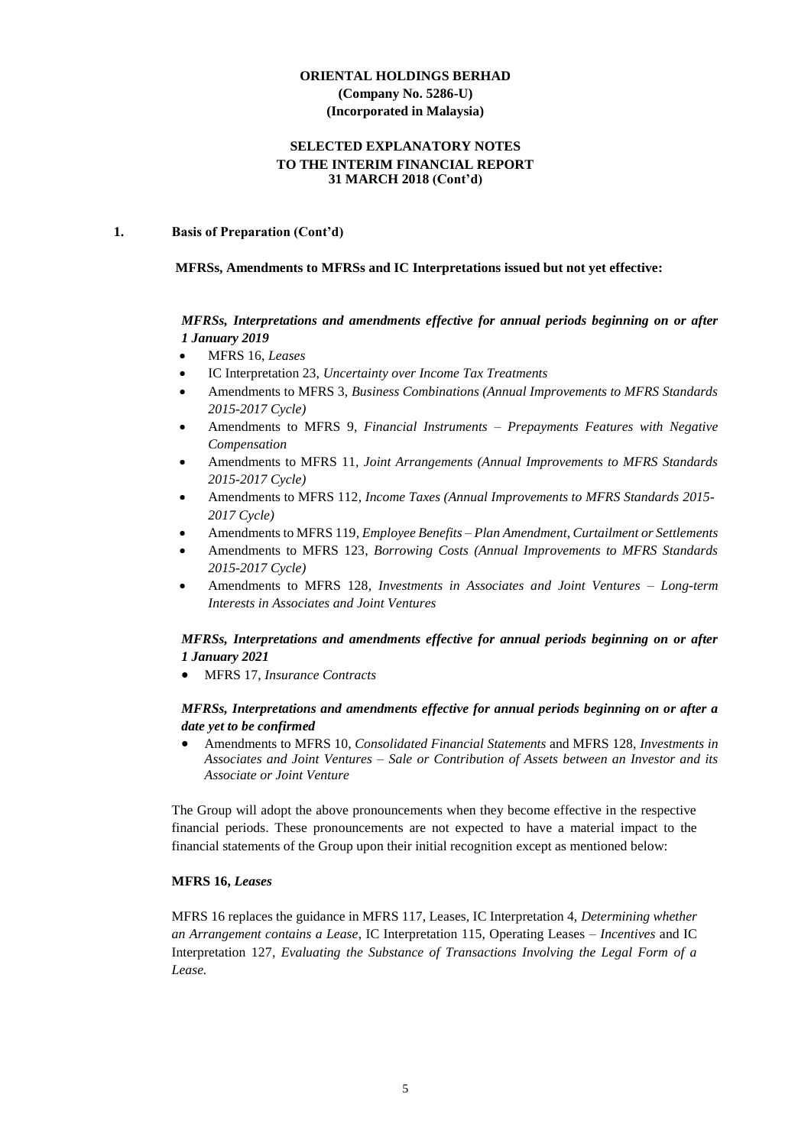#### **SELECTED EXPLANATORY NOTES TO THE INTERIM FINANCIAL REPORT 31 MARCH 2018 (Cont'd)**

#### **1. Basis of Preparation (Cont'd)**

#### **MFRSs, Amendments to MFRSs and IC Interpretations issued but not yet effective:**

# *MFRSs, Interpretations and amendments effective for annual periods beginning on or after 1 January 2019*

- MFRS 16, *Leases*
- IC Interpretation 23, *Uncertainty over Income Tax Treatments*
- Amendments to MFRS 3, *Business Combinations (Annual Improvements to MFRS Standards 2015-2017 Cycle)*
- Amendments to MFRS 9, *Financial Instruments – Prepayments Features with Negative Compensation*
- Amendments to MFRS 11*, Joint Arrangements (Annual Improvements to MFRS Standards 2015-2017 Cycle)*
- Amendments to MFRS 112*, Income Taxes (Annual Improvements to MFRS Standards 2015- 2017 Cycle)*
- Amendments to MFRS 119*, Employee Benefits – Plan Amendment, Curtailment or Settlements*
- Amendments to MFRS 123*, Borrowing Costs (Annual Improvements to MFRS Standards 2015-2017 Cycle)*
- Amendments to MFRS 128*, Investments in Associates and Joint Ventures – Long-term Interests in Associates and Joint Ventures*

# *MFRSs, Interpretations and amendments effective for annual periods beginning on or after 1 January 2021*

MFRS 17, *Insurance Contracts*

#### *MFRSs, Interpretations and amendments effective for annual periods beginning on or after a date yet to be confirmed*

 Amendments to MFRS 10, *Consolidated Financial Statements* and MFRS 128, *Investments in Associates and Joint Ventures – Sale or Contribution of Assets between an Investor and its Associate or Joint Venture*

The Group will adopt the above pronouncements when they become effective in the respective financial periods. These pronouncements are not expected to have a material impact to the financial statements of the Group upon their initial recognition except as mentioned below:

#### **MFRS 16,** *Leases*

MFRS 16 replaces the guidance in MFRS 117, Leases, IC Interpretation 4, *Determining whether an Arrangement contains a Lease*, IC Interpretation 115, Operating Leases *– Incentives* and IC Interpretation 127*, Evaluating the Substance of Transactions Involving the Legal Form of a Lease.*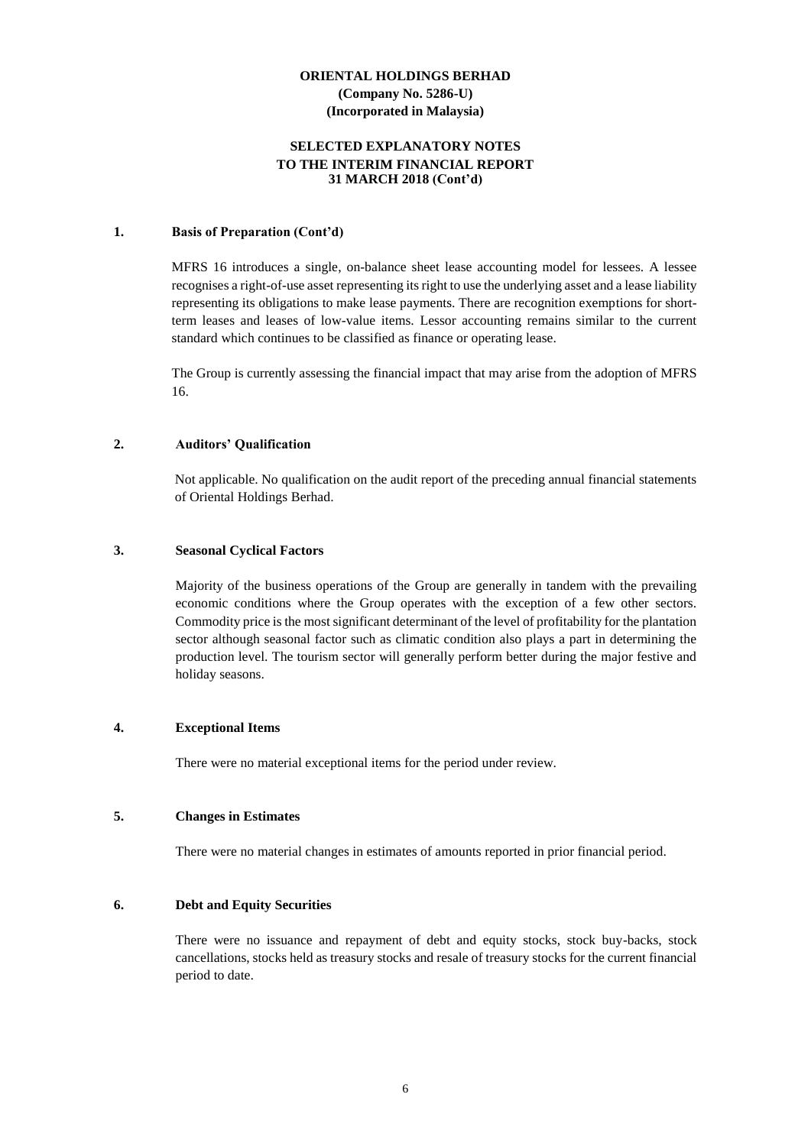#### **SELECTED EXPLANATORY NOTES TO THE INTERIM FINANCIAL REPORT 31 MARCH 2018 (Cont'd)**

#### **1. Basis of Preparation (Cont'd)**

MFRS 16 introduces a single, on-balance sheet lease accounting model for lessees. A lessee recognises a right-of-use asset representing its right to use the underlying asset and a lease liability representing its obligations to make lease payments. There are recognition exemptions for shortterm leases and leases of low-value items. Lessor accounting remains similar to the current standard which continues to be classified as finance or operating lease.

The Group is currently assessing the financial impact that may arise from the adoption of MFRS 16.

#### **2. Auditors' Qualification**

Not applicable. No qualification on the audit report of the preceding annual financial statements of Oriental Holdings Berhad.

#### **3. Seasonal Cyclical Factors**

Majority of the business operations of the Group are generally in tandem with the prevailing economic conditions where the Group operates with the exception of a few other sectors. Commodity price is the most significant determinant of the level of profitability for the plantation sector although seasonal factor such as climatic condition also plays a part in determining the production level. The tourism sector will generally perform better during the major festive and holiday seasons.

#### **4. Exceptional Items**

There were no material exceptional items for the period under review.

## **5. Changes in Estimates**

There were no material changes in estimates of amounts reported in prior financial period.

#### **6. Debt and Equity Securities**

There were no issuance and repayment of debt and equity stocks, stock buy-backs, stock cancellations, stocks held as treasury stocks and resale of treasury stocks for the current financial period to date.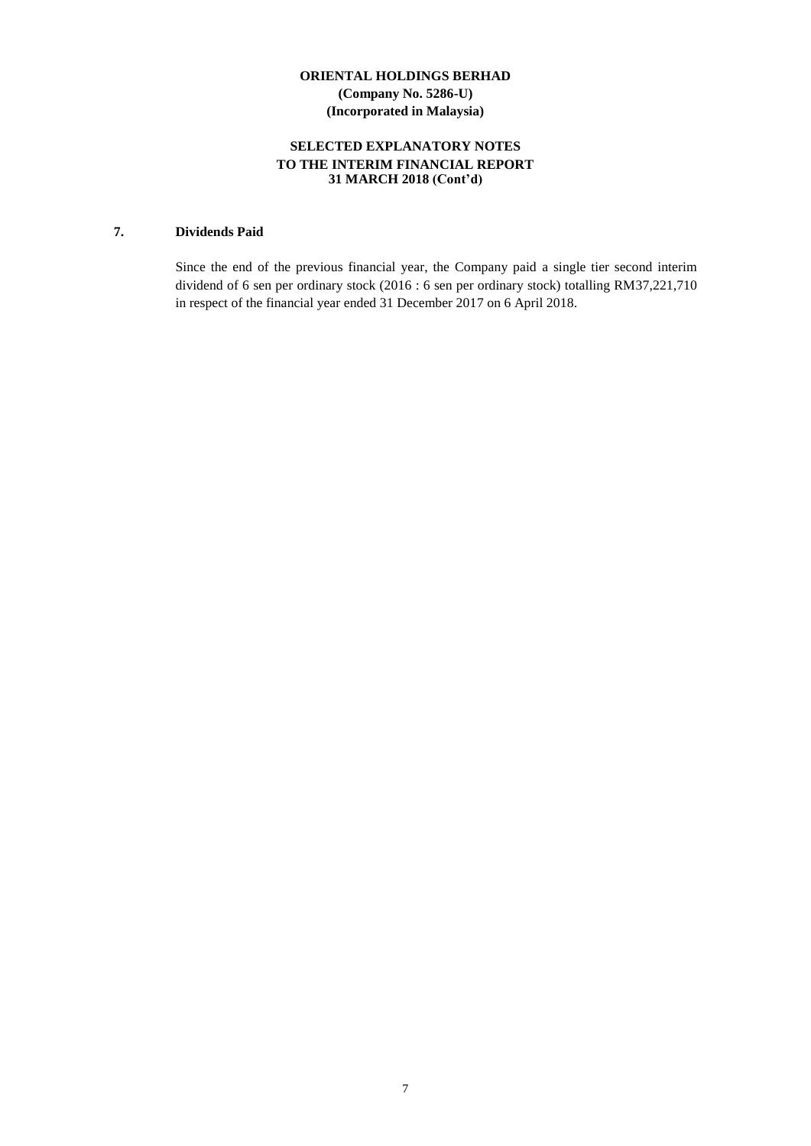# **SELECTED EXPLANATORY NOTES TO THE INTERIM FINANCIAL REPORT 31 MARCH 2018 (Cont'd)**

# **7. Dividends Paid**

Since the end of the previous financial year, the Company paid a single tier second interim dividend of 6 sen per ordinary stock (2016 : 6 sen per ordinary stock) totalling RM37,221,710 in respect of the financial year ended 31 December 2017 on 6 April 2018.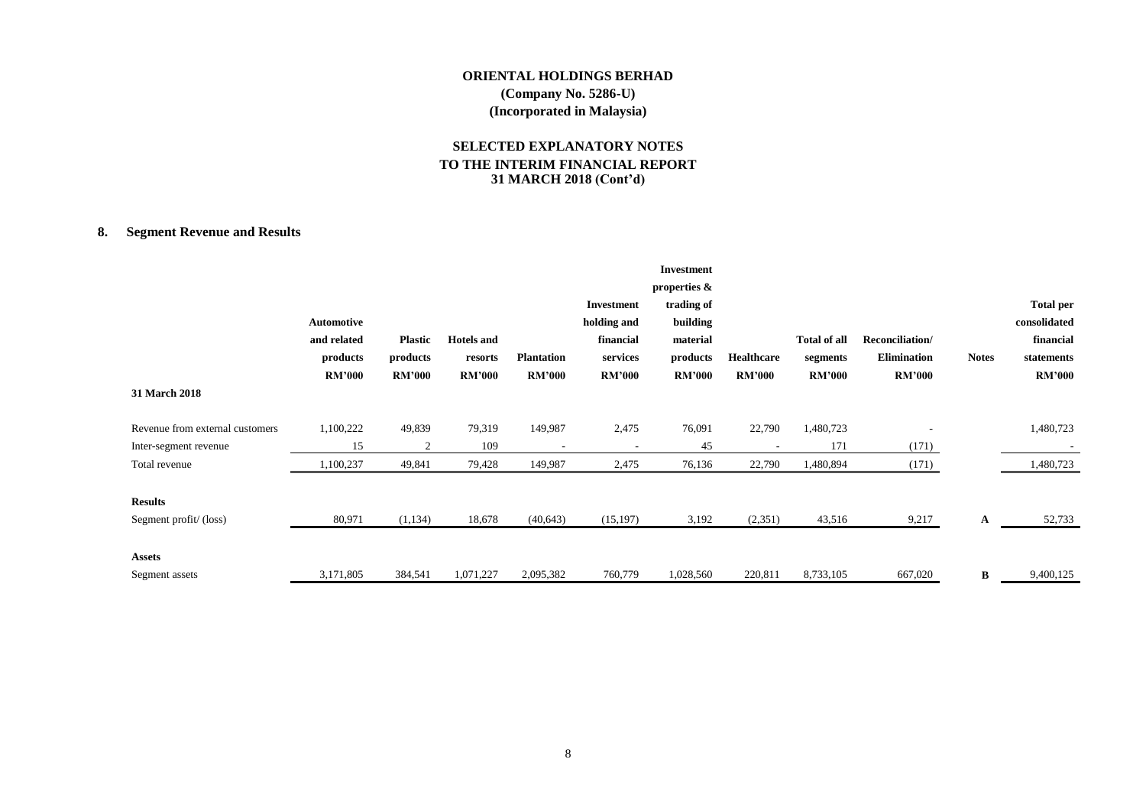# **SELECTED EXPLANATORY NOTES TO THE INTERIM FINANCIAL REPORT 31 MARCH 2018 (Cont'd)**

# **8. Segment Revenue and Results**

|                                 |               |                |                   |                          |               | <b>Investment</b> |               |                     |                    |              |                  |
|---------------------------------|---------------|----------------|-------------------|--------------------------|---------------|-------------------|---------------|---------------------|--------------------|--------------|------------------|
|                                 |               |                |                   |                          |               | properties &      |               |                     |                    |              |                  |
|                                 |               |                |                   |                          | Investment    | trading of        |               |                     |                    |              | <b>Total per</b> |
|                                 | Automotive    |                |                   |                          | holding and   | building          |               |                     |                    |              | consolidated     |
|                                 | and related   | <b>Plastic</b> | <b>Hotels</b> and |                          | financial     | material          |               | <b>Total of all</b> | Reconciliation/    |              | financial        |
|                                 | products      | products       | resorts           | <b>Plantation</b>        | services      | products          | Healthcare    | segments            | <b>Elimination</b> | <b>Notes</b> | statements       |
|                                 | <b>RM'000</b> | <b>RM'000</b>  | <b>RM'000</b>     | <b>RM'000</b>            | <b>RM'000</b> | <b>RM'000</b>     | <b>RM'000</b> | <b>RM'000</b>       | <b>RM'000</b>      |              | <b>RM'000</b>    |
| <b>31 March 2018</b>            |               |                |                   |                          |               |                   |               |                     |                    |              |                  |
| Revenue from external customers | 1,100,222     | 49,839         | 79,319            | 149,987                  | 2,475         | 76,091            | 22,790        | 1,480,723           |                    |              | 1,480,723        |
| Inter-segment revenue           | 15            | $\overline{2}$ | 109               | $\overline{\phantom{a}}$ | ٠             | 45                |               | 171                 | (171)              |              |                  |
| Total revenue                   | 1,100,237     | 49,841         | 79,428            | 149,987                  | 2,475         | 76,136            | 22,790        | 1,480,894           | (171)              |              | 1,480,723        |
| <b>Results</b>                  |               |                |                   |                          |               |                   |               |                     |                    |              |                  |
| Segment profit/(loss)           | 80,971        | (1,134)        | 18,678            | (40, 643)                | (15, 197)     | 3,192             | (2,351)       | 43,516              | 9,217              | A            | 52,733           |
| <b>Assets</b>                   |               |                |                   |                          |               |                   |               |                     |                    |              |                  |
| Segment assets                  | 3,171,805     | 384,541        | 1,071,227         | 2,095,382                | 760,779       | 1,028,560         | 220,811       | 8,733,105           | 667,020            | B            | 9,400,125        |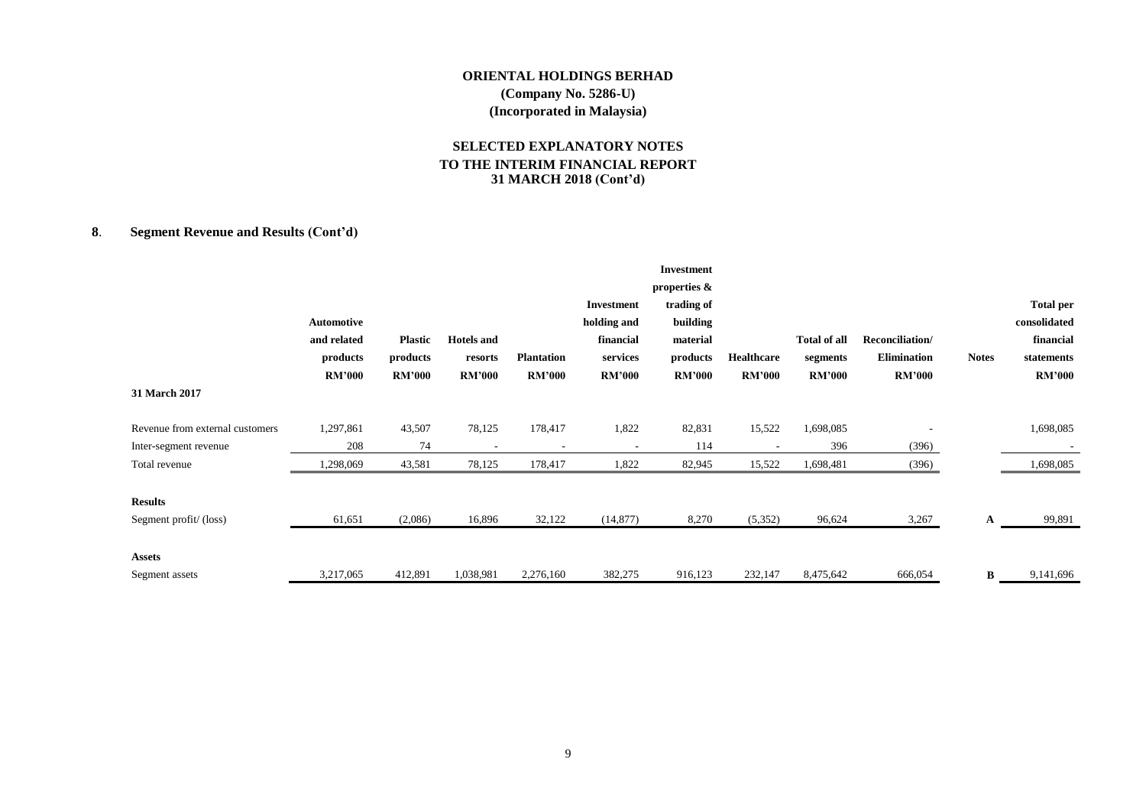# **SELECTED EXPLANATORY NOTES TO THE INTERIM FINANCIAL REPORT 31 MARCH 2018 (Cont'd)**

# **8**. **Segment Revenue and Results (Cont'd)**

|                                 | Automotive<br>and related | <b>Plastic</b> | <b>Hotels</b> and |                   | Investment<br>holding and<br>financial | <b>Investment</b><br>properties &<br>trading of<br>building<br>material |               | <b>Total of all</b> | Reconciliation/    |              | <b>Total per</b><br>consolidated<br>financial |
|---------------------------------|---------------------------|----------------|-------------------|-------------------|----------------------------------------|-------------------------------------------------------------------------|---------------|---------------------|--------------------|--------------|-----------------------------------------------|
|                                 | products                  | products       | resorts           | <b>Plantation</b> | services                               | products                                                                | Healthcare    | segments            | <b>Elimination</b> | <b>Notes</b> | statements                                    |
|                                 | <b>RM'000</b>             | <b>RM'000</b>  | <b>RM'000</b>     | <b>RM'000</b>     | <b>RM'000</b>                          | <b>RM'000</b>                                                           | <b>RM'000</b> | <b>RM'000</b>       | <b>RM'000</b>      |              | <b>RM'000</b>                                 |
| 31 March 2017                   |                           |                |                   |                   |                                        |                                                                         |               |                     |                    |              |                                               |
| Revenue from external customers | 1,297,861                 | 43,507         | 78,125            | 178,417           | 1,822                                  | 82,831                                                                  | 15,522        | 1,698,085           |                    |              | 1,698,085                                     |
| Inter-segment revenue           | 208                       | 74             |                   |                   |                                        | 114                                                                     |               | 396                 | (396)              |              |                                               |
| Total revenue                   | ,298,069                  | 43,581         | 78,125            | 178,417           | 1,822                                  | 82,945                                                                  | 15,522        | 1,698,481           | (396)              |              | 1,698,085                                     |
| <b>Results</b>                  |                           |                |                   |                   |                                        |                                                                         |               |                     |                    |              |                                               |
| Segment profit/(loss)           | 61,651                    | (2,086)        | 16,896            | 32,122            | (14, 877)                              | 8,270                                                                   | (5,352)       | 96,624              | 3,267              | A            | 99,891                                        |
| <b>Assets</b>                   |                           |                |                   |                   |                                        |                                                                         |               |                     |                    |              |                                               |
| Segment assets                  | 3,217,065                 | 412,891        | 1,038,981         | 2,276,160         | 382,275                                | 916,123                                                                 | 232,147       | 8,475,642           | 666,054            | B            | 9,141,696                                     |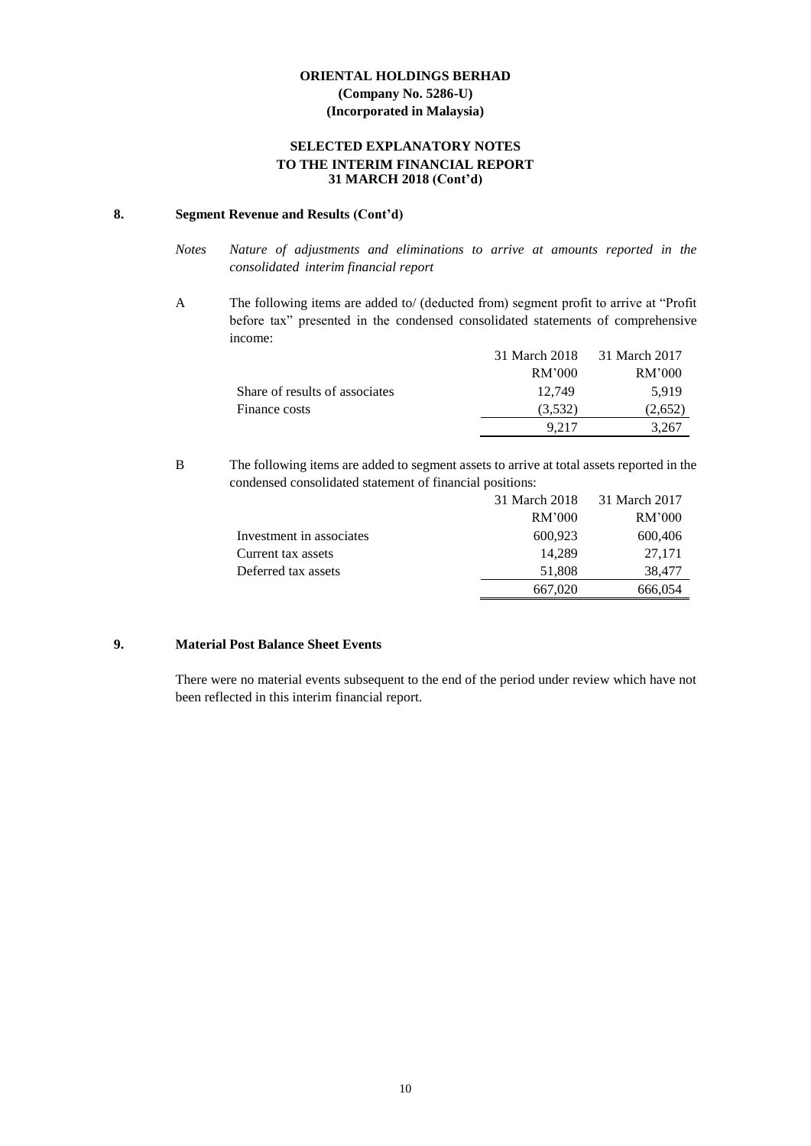#### **SELECTED EXPLANATORY NOTES TO THE INTERIM FINANCIAL REPORT 31 MARCH 2018 (Cont'd)**

#### **8. Segment Revenue and Results (Cont'd)**

- *Notes Nature of adjustments and eliminations to arrive at amounts reported in the consolidated interim financial report*
- A The following items are added to/ (deducted from) segment profit to arrive at "Profit before tax" presented in the condensed consolidated statements of comprehensive income:

|                                | 31 March 2018 | 31 March 2017 |
|--------------------------------|---------------|---------------|
|                                | RM'000        | RM'000        |
| Share of results of associates | 12.749        | 5.919         |
| Finance costs                  | (3,532)       | (2,652)       |
|                                | 9.217         | 3.267         |

B The following items are added to segment assets to arrive at total assets reported in the condensed consolidated statement of financial positions:

|                          | 31 March 2018 | 31 March 2017 |
|--------------------------|---------------|---------------|
|                          | RM'000        | RM'000        |
| Investment in associates | 600,923       | 600,406       |
| Current tax assets       | 14.289        | 27.171        |
| Deferred tax assets      | 51,808        | 38,477        |
|                          | 667,020       | 666,054       |

#### **9. Material Post Balance Sheet Events**

There were no material events subsequent to the end of the period under review which have not been reflected in this interim financial report.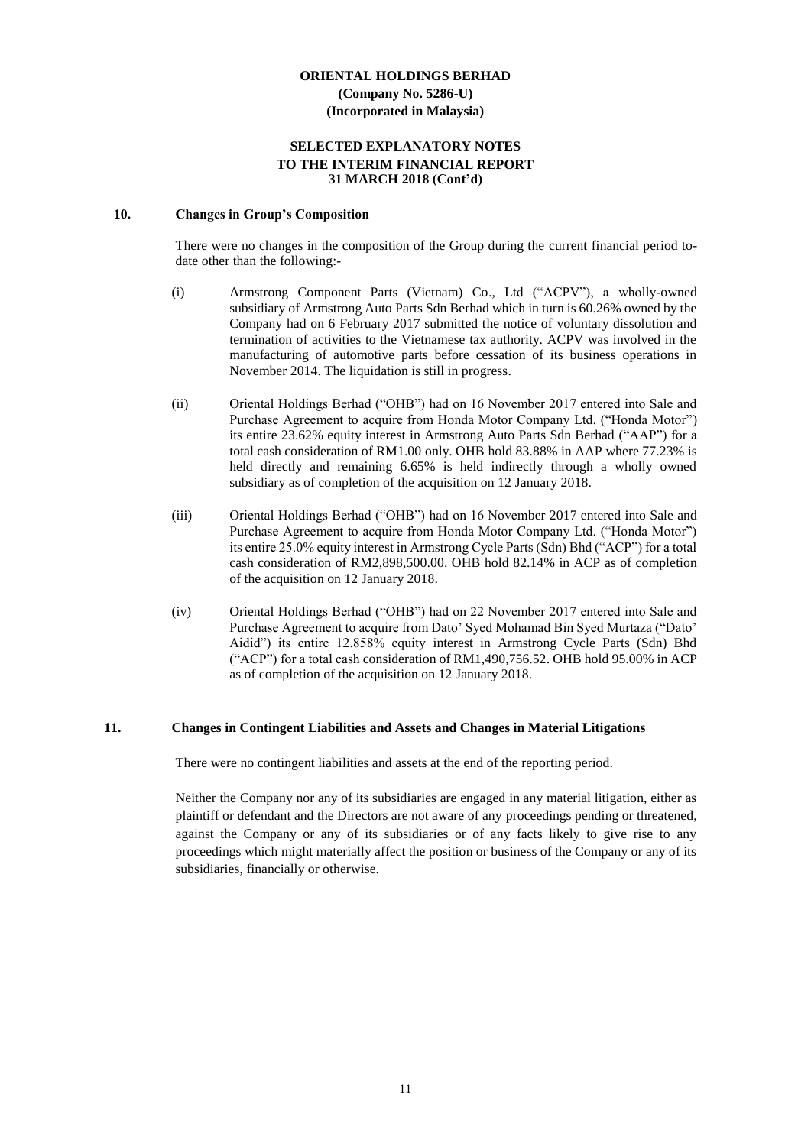#### **SELECTED EXPLANATORY NOTES TO THE INTERIM FINANCIAL REPORT 31 MARCH 2018 (Cont'd)**

#### **10. Changes in Group's Composition**

There were no changes in the composition of the Group during the current financial period todate other than the following:-

- (i) Armstrong Component Parts (Vietnam) Co., Ltd ("ACPV"), a wholly-owned subsidiary of Armstrong Auto Parts Sdn Berhad which in turn is 60.26% owned by the Company had on 6 February 2017 submitted the notice of voluntary dissolution and termination of activities to the Vietnamese tax authority. ACPV was involved in the manufacturing of automotive parts before cessation of its business operations in November 2014. The liquidation is still in progress.
- (ii) Oriental Holdings Berhad ("OHB") had on 16 November 2017 entered into Sale and Purchase Agreement to acquire from Honda Motor Company Ltd. ("Honda Motor") its entire 23.62% equity interest in Armstrong Auto Parts Sdn Berhad ("AAP") for a total cash consideration of RM1.00 only. OHB hold 83.88% in AAP where 77.23% is held directly and remaining 6.65% is held indirectly through a wholly owned subsidiary as of completion of the acquisition on 12 January 2018.
- (iii) Oriental Holdings Berhad ("OHB") had on 16 November 2017 entered into Sale and Purchase Agreement to acquire from Honda Motor Company Ltd. ("Honda Motor") its entire 25.0% equity interest in Armstrong Cycle Parts (Sdn) Bhd ("ACP") for a total cash consideration of RM2,898,500.00. OHB hold 82.14% in ACP as of completion of the acquisition on 12 January 2018.
- (iv) Oriental Holdings Berhad ("OHB") had on 22 November 2017 entered into Sale and Purchase Agreement to acquire from Dato' Syed Mohamad Bin Syed Murtaza ("Dato' Aidid") its entire 12.858% equity interest in Armstrong Cycle Parts (Sdn) Bhd ("ACP") for a total cash consideration of RM1,490,756.52. OHB hold 95.00% in ACP as of completion of the acquisition on 12 January 2018.

#### **11. Changes in Contingent Liabilities and Assets and Changes in Material Litigations**

There were no contingent liabilities and assets at the end of the reporting period.

Neither the Company nor any of its subsidiaries are engaged in any material litigation, either as plaintiff or defendant and the Directors are not aware of any proceedings pending or threatened, against the Company or any of its subsidiaries or of any facts likely to give rise to any proceedings which might materially affect the position or business of the Company or any of its subsidiaries, financially or otherwise.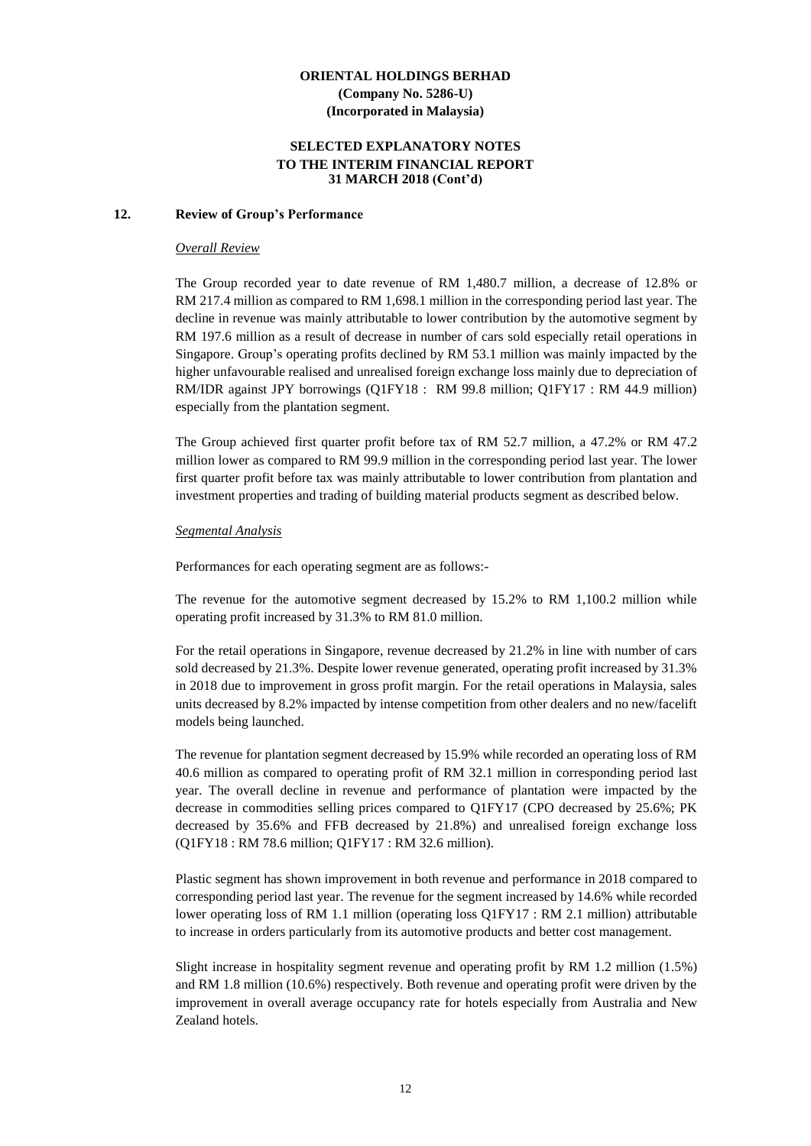#### **SELECTED EXPLANATORY NOTES TO THE INTERIM FINANCIAL REPORT 31 MARCH 2018 (Cont'd)**

#### **12. Review of Group's Performance**

#### *Overall Review*

The Group recorded year to date revenue of RM 1,480.7 million, a decrease of 12.8% or RM 217.4 million as compared to RM 1,698.1 million in the corresponding period last year. The decline in revenue was mainly attributable to lower contribution by the automotive segment by RM 197.6 million as a result of decrease in number of cars sold especially retail operations in Singapore. Group's operating profits declined by RM 53.1 million was mainly impacted by the higher unfavourable realised and unrealised foreign exchange loss mainly due to depreciation of RM/IDR against JPY borrowings (Q1FY18 : RM 99.8 million; Q1FY17 : RM 44.9 million) especially from the plantation segment.

The Group achieved first quarter profit before tax of RM 52.7 million, a 47.2% or RM 47.2 million lower as compared to RM 99.9 million in the corresponding period last year. The lower first quarter profit before tax was mainly attributable to lower contribution from plantation and investment properties and trading of building material products segment as described below.

#### *Segmental Analysis*

Performances for each operating segment are as follows:-

The revenue for the automotive segment decreased by 15.2% to RM 1,100.2 million while operating profit increased by 31.3% to RM 81.0 million.

For the retail operations in Singapore, revenue decreased by 21.2% in line with number of cars sold decreased by 21.3%. Despite lower revenue generated, operating profit increased by 31.3% in 2018 due to improvement in gross profit margin. For the retail operations in Malaysia, sales units decreased by 8.2% impacted by intense competition from other dealers and no new/facelift models being launched.

The revenue for plantation segment decreased by 15.9% while recorded an operating loss of RM 40.6 million as compared to operating profit of RM 32.1 million in corresponding period last year. The overall decline in revenue and performance of plantation were impacted by the decrease in commodities selling prices compared to Q1FY17 (CPO decreased by 25.6%; PK decreased by 35.6% and FFB decreased by 21.8%) and unrealised foreign exchange loss (Q1FY18 : RM 78.6 million; Q1FY17 : RM 32.6 million).

Plastic segment has shown improvement in both revenue and performance in 2018 compared to corresponding period last year. The revenue for the segment increased by 14.6% while recorded lower operating loss of RM 1.1 million (operating loss Q1FY17 : RM 2.1 million) attributable to increase in orders particularly from its automotive products and better cost management.

Slight increase in hospitality segment revenue and operating profit by RM 1.2 million (1.5%) and RM 1.8 million (10.6%) respectively. Both revenue and operating profit were driven by the improvement in overall average occupancy rate for hotels especially from Australia and New Zealand hotels.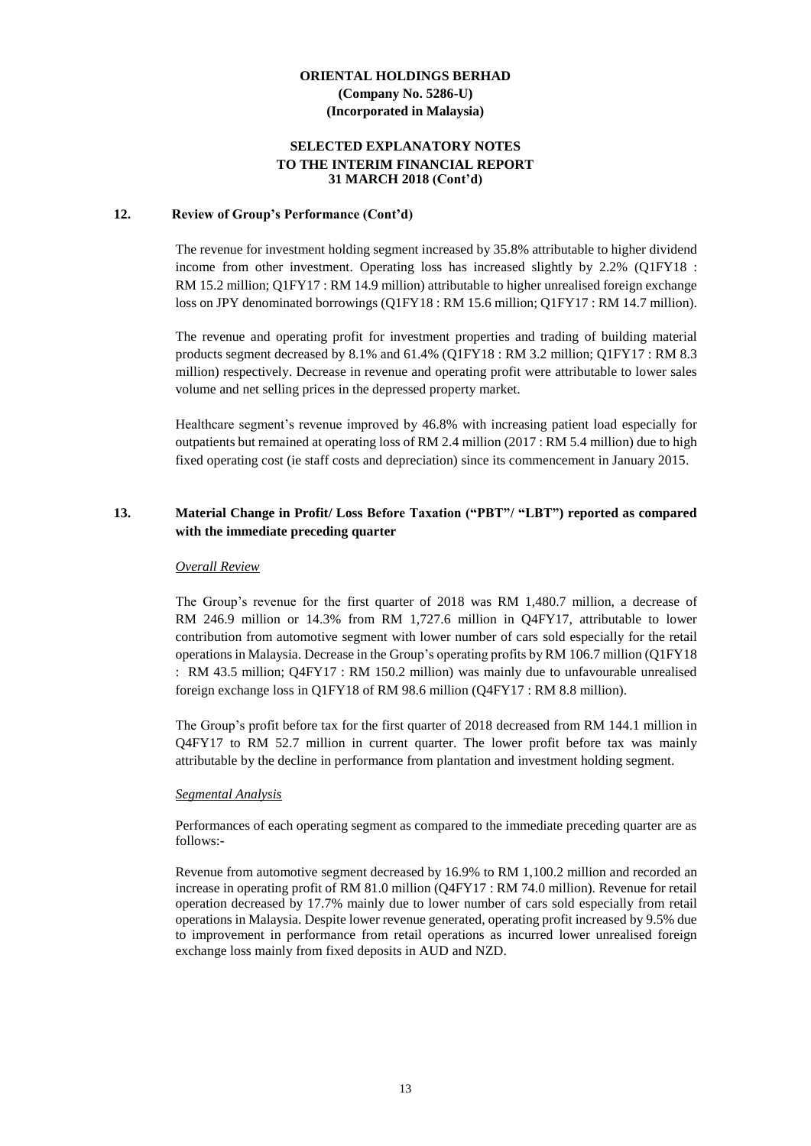#### **SELECTED EXPLANATORY NOTES TO THE INTERIM FINANCIAL REPORT 31 MARCH 2018 (Cont'd)**

#### **12. Review of Group's Performance (Cont'd)**

The revenue for investment holding segment increased by 35.8% attributable to higher dividend income from other investment. Operating loss has increased slightly by 2.2% (Q1FY18 : RM 15.2 million; Q1FY17 : RM 14.9 million) attributable to higher unrealised foreign exchange loss on JPY denominated borrowings (Q1FY18 : RM 15.6 million; Q1FY17 : RM 14.7 million).

The revenue and operating profit for investment properties and trading of building material products segment decreased by 8.1% and 61.4% (Q1FY18 : RM 3.2 million; Q1FY17 : RM 8.3 million) respectively. Decrease in revenue and operating profit were attributable to lower sales volume and net selling prices in the depressed property market.

Healthcare segment's revenue improved by 46.8% with increasing patient load especially for outpatients but remained at operating loss of RM 2.4 million (2017 : RM 5.4 million) due to high fixed operating cost (ie staff costs and depreciation) since its commencement in January 2015.

# **13. Material Change in Profit/ Loss Before Taxation ("PBT"/ "LBT") reported as compared with the immediate preceding quarter**

#### *Overall Review*

The Group's revenue for the first quarter of 2018 was RM 1,480.7 million, a decrease of RM 246.9 million or 14.3% from RM 1,727.6 million in Q4FY17, attributable to lower contribution from automotive segment with lower number of cars sold especially for the retail operations in Malaysia. Decrease in the Group's operating profits by RM 106.7 million (Q1FY18 : RM 43.5 million; Q4FY17 : RM 150.2 million) was mainly due to unfavourable unrealised foreign exchange loss in Q1FY18 of RM 98.6 million (Q4FY17 : RM 8.8 million).

The Group's profit before tax for the first quarter of 2018 decreased from RM 144.1 million in Q4FY17 to RM 52.7 million in current quarter. The lower profit before tax was mainly attributable by the decline in performance from plantation and investment holding segment.

#### *Segmental Analysis*

Performances of each operating segment as compared to the immediate preceding quarter are as follows:-

Revenue from automotive segment decreased by 16.9% to RM 1,100.2 million and recorded an increase in operating profit of RM 81.0 million (Q4FY17 : RM 74.0 million). Revenue for retail operation decreased by 17.7% mainly due to lower number of cars sold especially from retail operations in Malaysia. Despite lower revenue generated, operating profit increased by 9.5% due to improvement in performance from retail operations as incurred lower unrealised foreign exchange loss mainly from fixed deposits in AUD and NZD.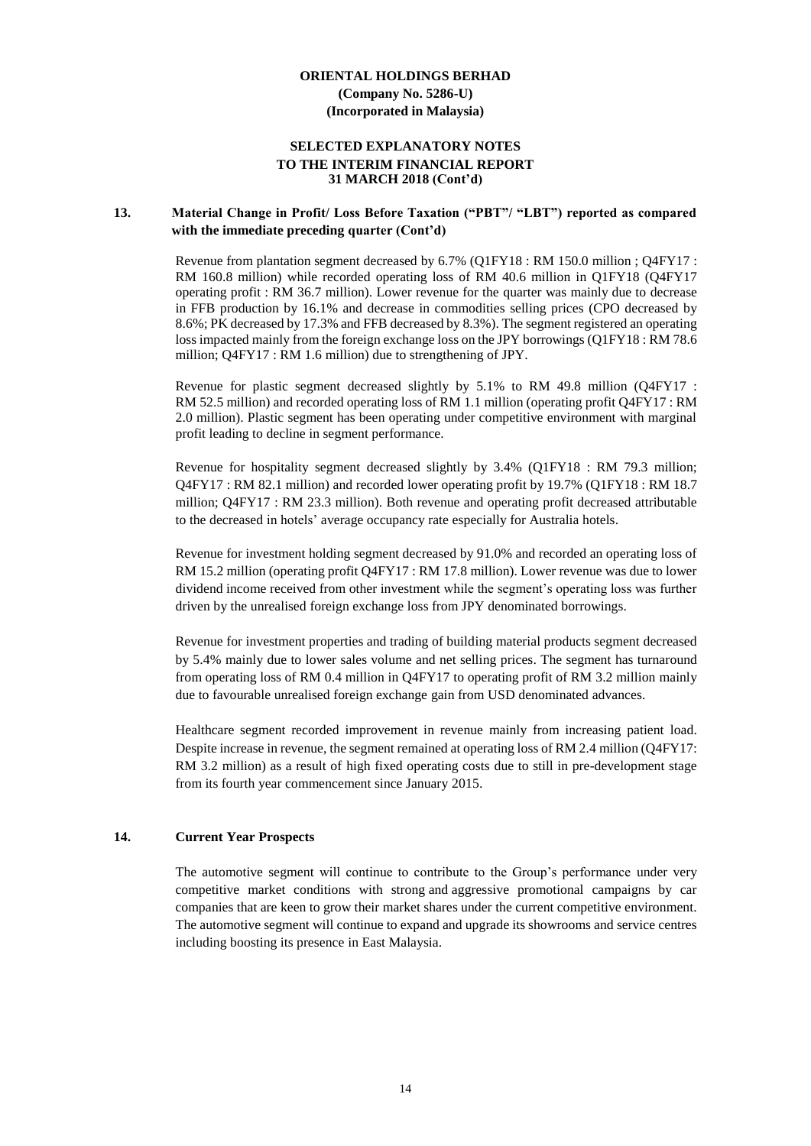#### **SELECTED EXPLANATORY NOTES TO THE INTERIM FINANCIAL REPORT 31 MARCH 2018 (Cont'd)**

#### **13. Material Change in Profit/ Loss Before Taxation ("PBT"/ "LBT") reported as compared with the immediate preceding quarter (Cont'd)**

Revenue from plantation segment decreased by 6.7% (Q1FY18 : RM 150.0 million ; Q4FY17 : RM 160.8 million) while recorded operating loss of RM 40.6 million in Q1FY18 (Q4FY17 operating profit : RM 36.7 million). Lower revenue for the quarter was mainly due to decrease in FFB production by 16.1% and decrease in commodities selling prices (CPO decreased by 8.6%; PK decreased by 17.3% and FFB decreased by 8.3%). The segment registered an operating loss impacted mainly from the foreign exchange loss on the JPY borrowings (Q1FY18 : RM 78.6 million; Q4FY17 : RM 1.6 million) due to strengthening of JPY.

Revenue for plastic segment decreased slightly by 5.1% to RM 49.8 million (Q4FY17 : RM 52.5 million) and recorded operating loss of RM 1.1 million (operating profit Q4FY17 : RM 2.0 million). Plastic segment has been operating under competitive environment with marginal profit leading to decline in segment performance.

Revenue for hospitality segment decreased slightly by 3.4% (Q1FY18 : RM 79.3 million; Q4FY17 : RM 82.1 million) and recorded lower operating profit by 19.7% (Q1FY18 : RM 18.7 million; Q4FY17 : RM 23.3 million). Both revenue and operating profit decreased attributable to the decreased in hotels' average occupancy rate especially for Australia hotels.

Revenue for investment holding segment decreased by 91.0% and recorded an operating loss of RM 15.2 million (operating profit Q4FY17 : RM 17.8 million). Lower revenue was due to lower dividend income received from other investment while the segment's operating loss was further driven by the unrealised foreign exchange loss from JPY denominated borrowings.

Revenue for investment properties and trading of building material products segment decreased by 5.4% mainly due to lower sales volume and net selling prices. The segment has turnaround from operating loss of RM 0.4 million in Q4FY17 to operating profit of RM 3.2 million mainly due to favourable unrealised foreign exchange gain from USD denominated advances.

Healthcare segment recorded improvement in revenue mainly from increasing patient load. Despite increase in revenue, the segment remained at operating loss of RM 2.4 million (Q4FY17: RM 3.2 million) as a result of high fixed operating costs due to still in pre-development stage from its fourth year commencement since January 2015.

#### **14. Current Year Prospects**

The automotive segment will continue to contribute to the Group's performance under very competitive market conditions with strong and aggressive promotional campaigns by car companies that are keen to grow their market shares under the current competitive environment. The automotive segment will continue to expand and upgrade its showrooms and service centres including boosting its presence in East Malaysia.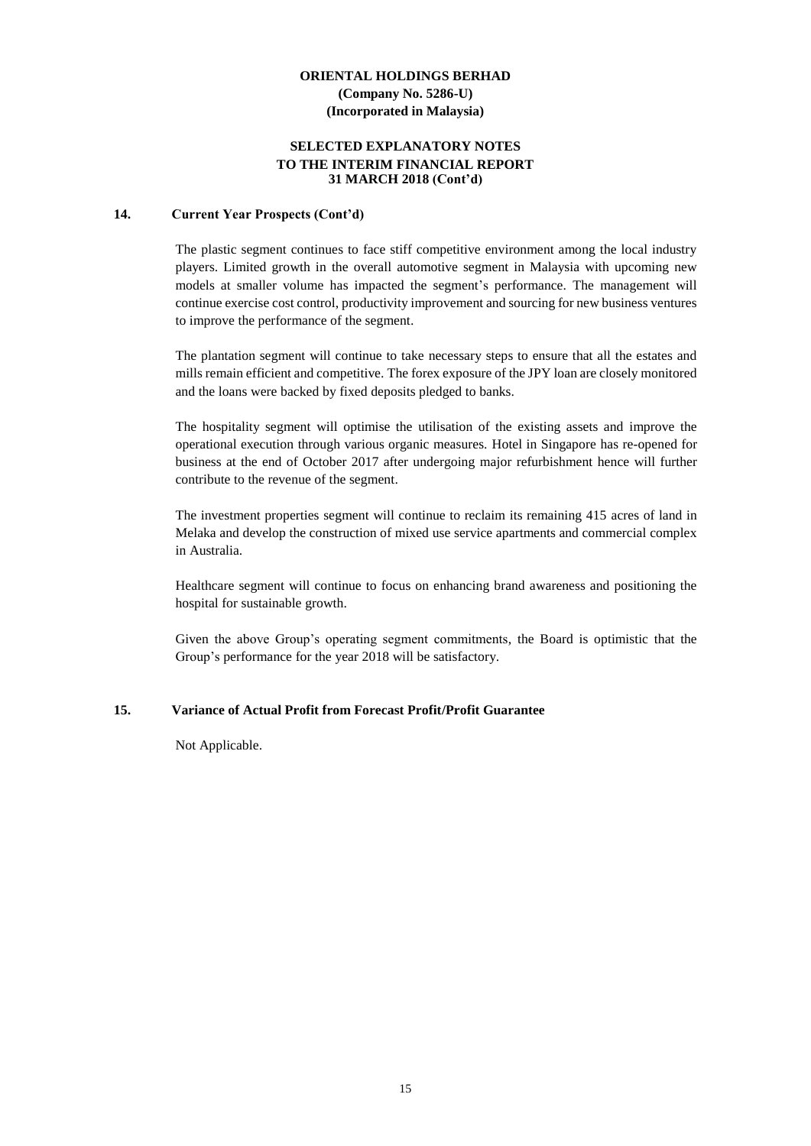#### **SELECTED EXPLANATORY NOTES TO THE INTERIM FINANCIAL REPORT 31 MARCH 2018 (Cont'd)**

#### **14. Current Year Prospects (Cont'd)**

The plastic segment continues to face stiff competitive environment among the local industry players. Limited growth in the overall automotive segment in Malaysia with upcoming new models at smaller volume has impacted the segment's performance. The management will continue exercise cost control, productivity improvement and sourcing for new business ventures to improve the performance of the segment.

The plantation segment will continue to take necessary steps to ensure that all the estates and mills remain efficient and competitive. The forex exposure of the JPY loan are closely monitored and the loans were backed by fixed deposits pledged to banks.

The hospitality segment will optimise the utilisation of the existing assets and improve the operational execution through various organic measures. Hotel in Singapore has re-opened for business at the end of October 2017 after undergoing major refurbishment hence will further contribute to the revenue of the segment.

The investment properties segment will continue to reclaim its remaining 415 acres of land in Melaka and develop the construction of mixed use service apartments and commercial complex in Australia.

Healthcare segment will continue to focus on enhancing brand awareness and positioning the hospital for sustainable growth.

Given the above Group's operating segment commitments, the Board is optimistic that the Group's performance for the year 2018 will be satisfactory.

#### **15. Variance of Actual Profit from Forecast Profit/Profit Guarantee**

Not Applicable.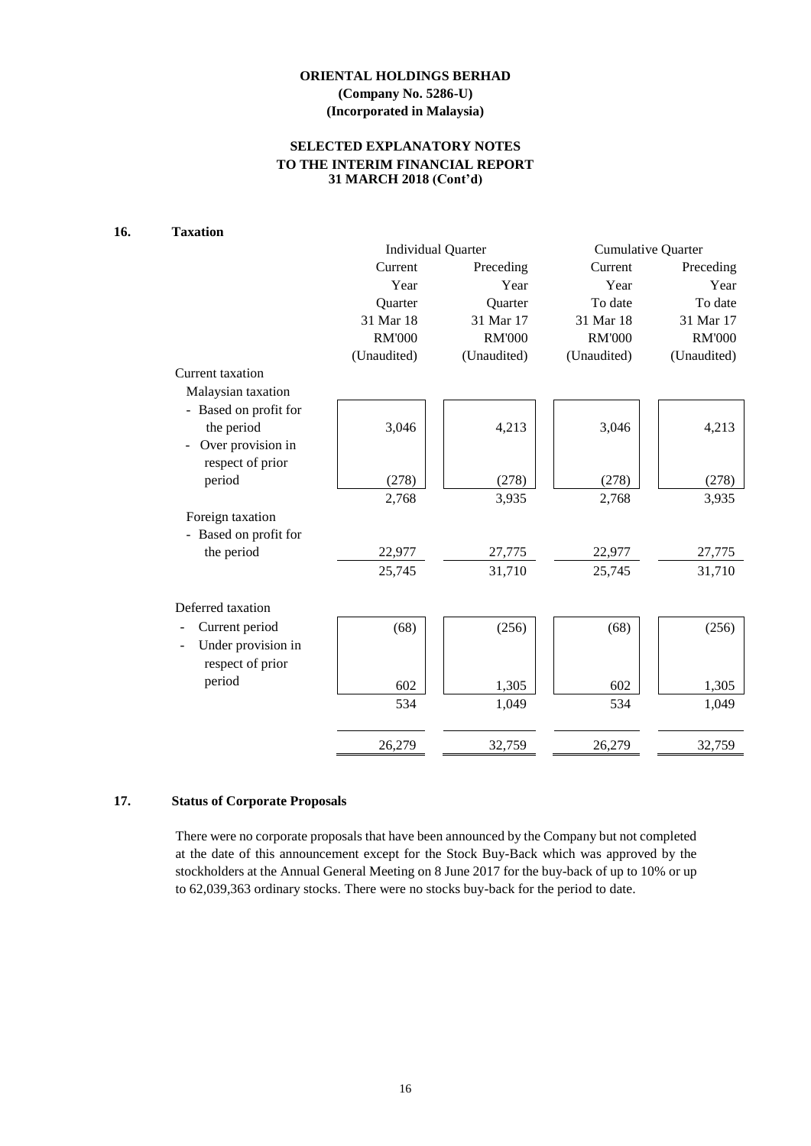# **SELECTED EXPLANATORY NOTES TO THE INTERIM FINANCIAL REPORT 31 MARCH 2018 (Cont'd)**

# **16. Taxation**

|                       |               | <b>Individual Quarter</b> | <b>Cumulative Quarter</b> |               |  |
|-----------------------|---------------|---------------------------|---------------------------|---------------|--|
|                       | Current       | Preceding                 | Current                   | Preceding     |  |
|                       | Year          | Year                      | Year                      | Year          |  |
|                       | Quarter       | Quarter                   | To date                   | To date       |  |
|                       | 31 Mar 18     | 31 Mar 17                 | 31 Mar 18                 | 31 Mar 17     |  |
|                       | <b>RM'000</b> | <b>RM'000</b>             | <b>RM'000</b>             | <b>RM'000</b> |  |
|                       | (Unaudited)   | (Unaudited)               | (Unaudited)               | (Unaudited)   |  |
| Current taxation      |               |                           |                           |               |  |
| Malaysian taxation    |               |                           |                           |               |  |
| - Based on profit for |               |                           |                           |               |  |
| the period            | 3,046         | 4,213                     | 3,046                     | 4,213         |  |
| Over provision in     |               |                           |                           |               |  |
| respect of prior      |               |                           |                           |               |  |
| period                | (278)         | (278)                     | (278)                     | (278)         |  |
|                       | 2,768         | 3,935                     | 2,768                     | 3,935         |  |
| Foreign taxation      |               |                           |                           |               |  |
| - Based on profit for |               |                           |                           |               |  |
| the period            | 22,977        | 27,775                    | 22,977                    | 27,775        |  |
|                       | 25,745        | 31,710                    | 25,745                    | 31,710        |  |
|                       |               |                           |                           |               |  |
| Deferred taxation     |               |                           |                           |               |  |
| Current period        | (68)          | (256)                     | (68)                      | (256)         |  |
| Under provision in    |               |                           |                           |               |  |
| respect of prior      |               |                           |                           |               |  |
| period                | 602           | 1,305                     | 602                       | 1,305         |  |
|                       | 534           | 1,049                     | 534                       | 1,049         |  |
|                       |               |                           |                           |               |  |
|                       | 26,279        | 32,759                    | 26,279                    | 32,759        |  |

# **17. Status of Corporate Proposals**

There were no corporate proposals that have been announced by the Company but not completed at the date of this announcement except for the Stock Buy-Back which was approved by the stockholders at the Annual General Meeting on 8 June 2017 for the buy-back of up to 10% or up to 62,039,363 ordinary stocks. There were no stocks buy-back for the period to date.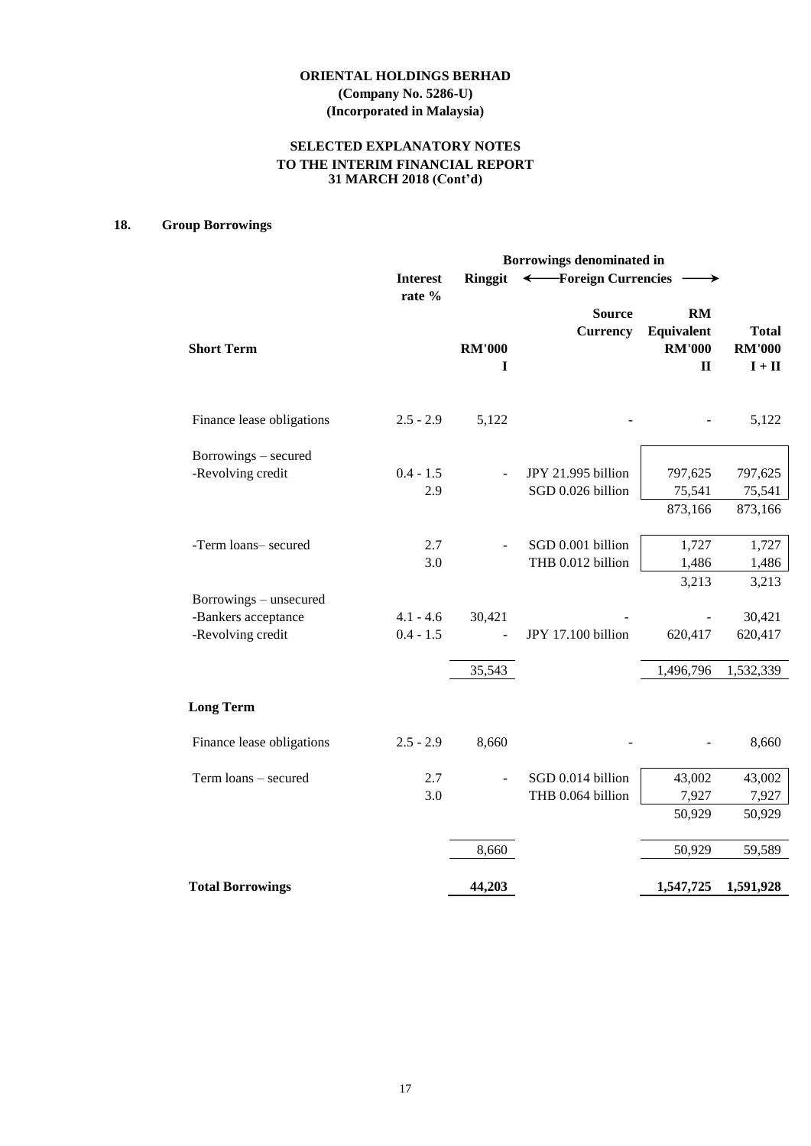# **SELECTED EXPLANATORY NOTES TO THE INTERIM FINANCIAL REPORT 31 MARCH 2018 (Cont'd)**

# **18. Group Borrowings**

|                                                                    | Borrowings denominated in  |                    |                                         |                                                   |                                           |
|--------------------------------------------------------------------|----------------------------|--------------------|-----------------------------------------|---------------------------------------------------|-------------------------------------------|
|                                                                    | <b>Interest</b>            | Ringgit            |                                         | ← Foreign Currencies                              |                                           |
| <b>Short Term</b>                                                  | rate %                     | <b>RM'000</b><br>1 | <b>Source</b><br><b>Currency</b>        | RM<br>Equivalent<br><b>RM'000</b><br>$\mathbf{I}$ | <b>Total</b><br><b>RM'000</b><br>$I + II$ |
| Finance lease obligations                                          | $2.5 - 2.9$                | 5,122              |                                         |                                                   | 5,122                                     |
| Borrowings – secured<br>-Revolving credit                          | $0.4 - 1.5$<br>2.9         |                    | JPY 21.995 billion<br>SGD 0.026 billion | 797,625<br>75,541<br>873,166                      | 797,625<br>75,541<br>873,166              |
| -Term loans- secured                                               | 2.7<br>3.0                 |                    | SGD 0.001 billion<br>THB 0.012 billion  | 1,727<br>1,486                                    | 1,727<br>1,486                            |
| Borrowings - unsecured<br>-Bankers acceptance<br>-Revolving credit | $4.1 - 4.6$<br>$0.4 - 1.5$ | 30,421<br>35,543   | JPY 17.100 billion                      | 3,213<br>620,417<br>1,496,796                     | 3,213<br>30,421<br>620,417<br>1,532,339   |
| <b>Long Term</b>                                                   |                            |                    |                                         |                                                   |                                           |
| Finance lease obligations                                          | $2.5 - 2.9$                | 8,660              |                                         |                                                   | 8,660                                     |
| Term loans - secured                                               | 2.7<br>3.0                 |                    | SGD 0.014 billion<br>THB 0.064 billion  | 43,002<br>7,927<br>50,929                         | 43,002<br>7,927<br>50,929                 |
|                                                                    |                            | 8,660              |                                         | 50,929                                            | 59,589                                    |
| <b>Total Borrowings</b>                                            |                            | 44,203             |                                         | 1,547,725                                         | 1,591,928                                 |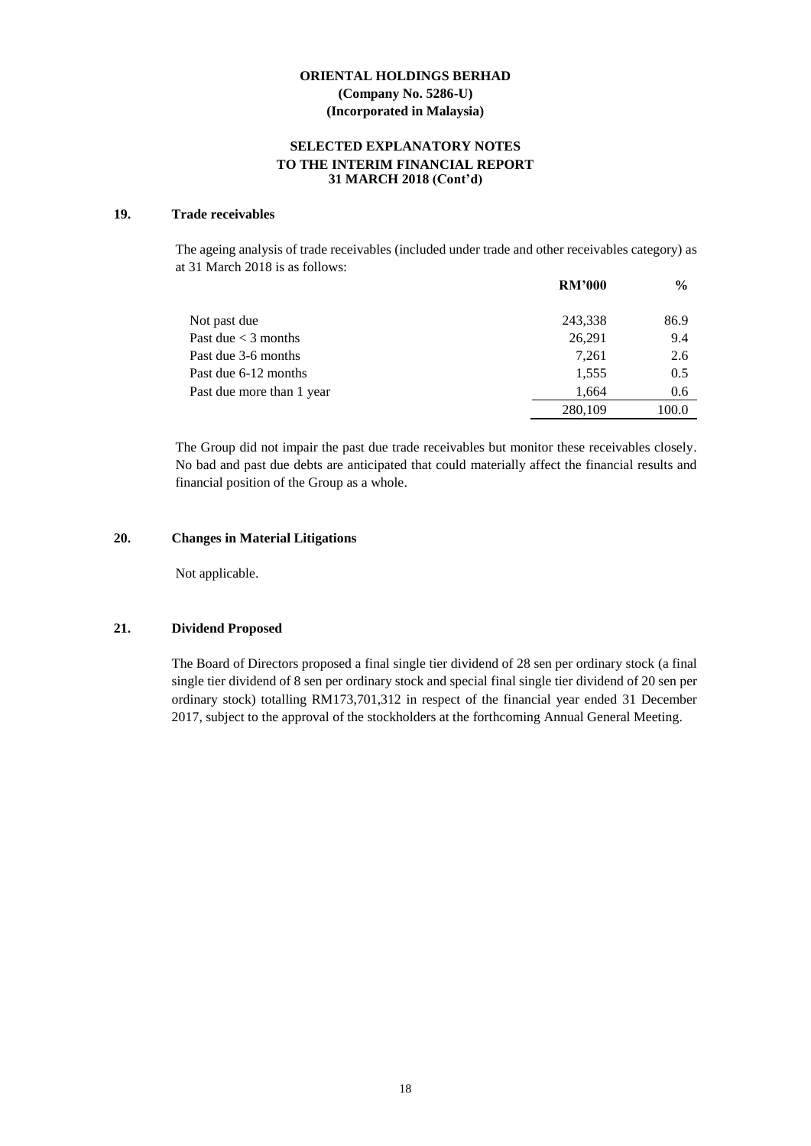#### **SELECTED EXPLANATORY NOTES TO THE INTERIM FINANCIAL REPORT 31 MARCH 2018 (Cont'd)**

#### **19. Trade receivables**

The ageing analysis of trade receivables (included under trade and other receivables category) as at 31 March 2018 is as follows:

|                           | <b>RM'000</b> | $\frac{6}{6}$ |
|---------------------------|---------------|---------------|
| Not past due              | 243,338       | 86.9          |
| Past due $<$ 3 months     | 26,291        | 9.4           |
| Past due 3-6 months       | 7.261         | 2.6           |
| Past due 6-12 months      | 1,555         | 0.5           |
| Past due more than 1 year | 1.664         | 0.6           |
|                           | 280,109       | 100.0         |

The Group did not impair the past due trade receivables but monitor these receivables closely. No bad and past due debts are anticipated that could materially affect the financial results and financial position of the Group as a whole.

#### **20. Changes in Material Litigations**

Not applicable.

# **21. Dividend Proposed**

The Board of Directors proposed a final single tier dividend of 28 sen per ordinary stock (a final single tier dividend of 8 sen per ordinary stock and special final single tier dividend of 20 sen per ordinary stock) totalling RM173,701,312 in respect of the financial year ended 31 December 2017, subject to the approval of the stockholders at the forthcoming Annual General Meeting.